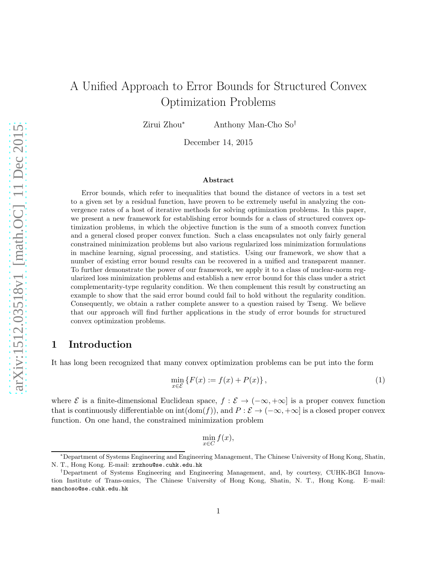# A Unified Approach to Error Bounds for Structured Convex Optimization Problems

Zirui Zhou<sup>∗</sup> Anthony Man-Cho So†

December 14, 2015

#### Abstract

Error bounds, which refer to inequalities that bound the distance of vectors in a test set to a given set by a residual function, have proven to be extremely useful in analyzing the convergence rates of a host of iterative methods for solving optimization problems. In this paper, we present a new framework for establishing error bounds for a class of structured convex optimization problems, in which the objective function is the sum of a smooth convex function and a general closed proper convex function. Such a class encapsulates not only fairly general constrained minimization problems but also various regularized loss minimization formulations in machine learning, signal processing, and statistics. Using our framework, we show that a number of existing error bound results can be recovered in a unified and transparent manner. To further demonstrate the power of our framework, we apply it to a class of nuclear-norm regularized loss minimization problems and establish a new error bound for this class under a strict complementarity-type regularity condition. We then complement this result by constructing an example to show that the said error bound could fail to hold without the regularity condition. Consequently, we obtain a rather complete answer to a question raised by Tseng. We believe that our approach will find further applications in the study of error bounds for structured convex optimization problems.

## 1 Introduction

It has long been recognized that many convex optimization problems can be put into the form

<span id="page-0-0"></span>
$$
\min_{x \in \mathcal{E}} \left\{ F(x) := f(x) + P(x) \right\},\tag{1}
$$

where  $\mathcal E$  is a finite-dimensional Euclidean space,  $f : \mathcal E \to (-\infty, +\infty]$  is a proper convex function that is continuously differentiable on  $\text{int}(\text{dom}(f))$ , and  $P:\mathcal{E} \to (-\infty, +\infty]$  is a closed proper convex function. On one hand, the constrained minimization problem

 $\min_{x \in C} f(x),$ 

<sup>∗</sup>Department of Systems Engineering and Engineering Management, The Chinese University of Hong Kong, Shatin, N. T., Hong Kong. E-mail: zrzhou@se.cuhk.edu.hk

<sup>†</sup>Department of Systems Engineering and Engineering Management, and, by courtesy, CUHK-BGI Innovation Institute of Trans-omics, The Chinese University of Hong Kong, Shatin, N. T., Hong Kong. E–mail: manchoso@se.cuhk.edu.hk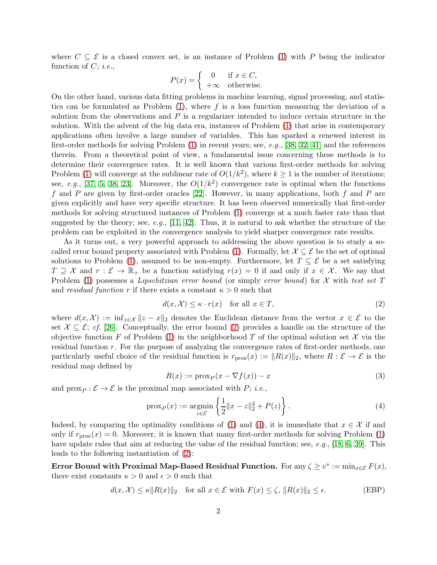where  $C \subseteq \mathcal{E}$  is a closed convex set, is an instance of Problem [\(1\)](#page-0-0) with P being the indicator function of  $C$ ; *i.e.*,

$$
P(x) = \begin{cases} 0 & \text{if } x \in C, \\ +\infty & \text{otherwise.} \end{cases}
$$

On the other hand, various data fitting problems in machine learning, signal processing, and statistics can be formulated as Problem  $(1)$ , where f is a loss function measuring the deviation of a solution from the observations and  $P$  is a regularizer intended to induce certain structure in the solution. With the advent of the big data era, instances of Problem [\(1\)](#page-0-0) that arise in contemporary applications often involve a large number of variables. This has sparked a renewed interest in first-order methods for solving Problem  $(1)$  in recent years; see, e.g., [\[38,](#page-31-0) [32,](#page-31-1) [41\]](#page-31-2) and the references therein. From a theoretical point of view, a fundamental issue concerning these methods is to determine their convergence rates. It is well known that various first-order methods for solving Problem [\(1\)](#page-0-0) will converge at the sublinear rate of  $O(1/k^2)$ , where  $k \ge 1$  is the number of iterations; see, e.g., [\[37,](#page-31-3) [5,](#page-29-0) [38,](#page-31-0) [23\]](#page-30-0). Moreover, the  $O(1/k^2)$  convergence rate is optimal when the functions f and  $P$  are given by first-order oracles [\[22\]](#page-30-1). However, in many applications, both  $f$  and  $P$  are given explicitly and have very specific structure. It has been observed numerically that first-order methods for solving structured instances of Problem [\(1\)](#page-0-0) converge at a much faster rate than that suggested by the theory; see, e.g.,  $[11, 42]$  $[11, 42]$ . Thus, it is natural to ask whether the structure of the problem can be exploited in the convergence analysis to yield sharper convergence rate results.

As it turns out, a very powerful approach to addressing the above question is to study a so-called error bound property associated with Problem [\(1\)](#page-0-0). Formally, let  $\mathcal{X} \subseteq \mathcal{E}$  be the set of optimal solutions to Problem [\(1\)](#page-0-0), assumed to be non-empty. Furthermore, let  $T \subseteq \mathcal{E}$  be a set satisfying  $T \supseteq \mathcal{X}$  and  $r : \mathcal{E} \to \mathbb{R}_+$  be a function satisfying  $r(x) = 0$  if and only if  $x \in \mathcal{X}$ . We say that Problem [\(1\)](#page-0-0) possesses a Lipschitzian error bound (or simply error bound) for  $\mathcal X$  with test set T and *residual function* r if there exists a constant  $\kappa > 0$  such that

<span id="page-1-0"></span>
$$
d(x, \mathcal{X}) \le \kappa \cdot r(x) \quad \text{for all } x \in T,
$$
\n<sup>(2)</sup>

where  $d(x, \mathcal{X}) := \inf_{z \in \mathcal{X}} \|z - x\|_2$  denotes the Euclidean distance from the vector  $x \in \mathcal{E}$  to the set  $\mathcal{X} \subseteq \mathcal{E}$ ; cf. [\[26\]](#page-30-2). Conceptually, the error bound [\(2\)](#page-1-0) provides a handle on the structure of the objective function F of Problem [\(1\)](#page-0-0) in the neighborhood T of the optimal solution set  $\mathcal X$  via the residual function r. For the purpose of analyzing the convergence rates of first-order methods, one particularly useful choice of the residual function is  $r_{\text{prox}}(x) := ||R(x)||_2$ , where  $R : \mathcal{E} \to \mathcal{E}$  is the residual map defined by

<span id="page-1-3"></span><span id="page-1-2"></span>
$$
R(x) := \text{prox}_P(x - \nabla f(x)) - x \tag{3}
$$

and  $\text{prox}_P : \mathcal{E} \to \mathcal{E}$  is the proximal map associated with P; *i.e.*,

<span id="page-1-1"></span>
$$
\text{prox}_P(x) := \underset{z \in \mathcal{E}}{\text{argmin}} \left\{ \frac{1}{2} \|x - z\|_2^2 + P(z) \right\}. \tag{4}
$$

Indeed, by comparing the optimality conditions of [\(1\)](#page-0-0) and [\(4\)](#page-1-1), it is immediate that  $x \in \mathcal{X}$  if and only if  $r_{\text{prox}}(x) = 0$ . Moreover, it is known that many first-order methods for solving Problem [\(1\)](#page-0-0) have update rules that aim at reducing the value of the residual function; see, e.g., [\[18,](#page-30-3) [6,](#page-29-2) [39\]](#page-31-5). This leads to the following instantiation of [\(2\)](#page-1-0):

Error Bound with Proximal Map-Based Residual Function. For any  $\zeta \geq v^* := \min_{x \in \mathcal{E}} F(x)$ , there exist constants  $\kappa > 0$  and  $\epsilon > 0$  such that

$$
d(x, \mathcal{X}) \le \kappa \|R(x)\|_2 \quad \text{for all } x \in \mathcal{E} \text{ with } F(x) \le \zeta, \|R(x)\|_2 \le \epsilon. \tag{EBP}
$$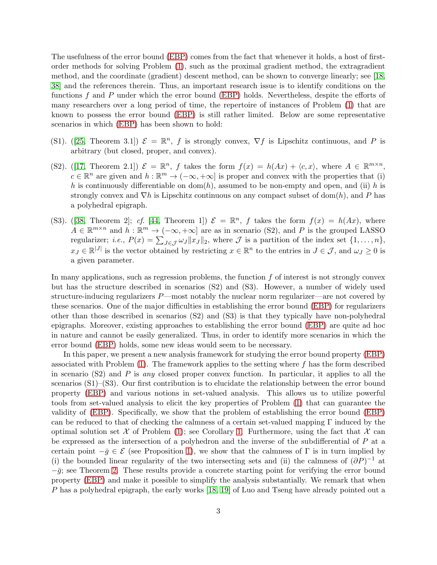The usefulness of the error bound [\(EBP\)](#page-1-2) comes from the fact that whenever it holds, a host of firstorder methods for solving Problem [\(1\)](#page-0-0), such as the proximal gradient method, the extragradient method, and the coordinate (gradient) descent method, can be shown to converge linearly; see [\[18,](#page-30-3) [38\]](#page-31-0) and the references therein. Thus, an important research issue is to identify conditions on the functions f and P under which the error bound [\(EBP\)](#page-1-2) holds. Nevertheless, despite the efforts of many researchers over a long period of time, the repertoire of instances of Problem [\(1\)](#page-0-0) that are known to possess the error bound [\(EBP\)](#page-1-2) is still rather limited. Below are some representative scenarios in which [\(EBP\)](#page-1-2) has been shown to hold:

- (S1).([\[25,](#page-30-4) Theorem 3.1])  $\mathcal{E} = \mathbb{R}^n$ , f is strongly convex,  $\nabla f$  is Lipschitz continuous, and P is arbitrary (but closed, proper, and convex).
- (S2).([\[17,](#page-30-5) Theorem 2.1])  $\mathcal{E} = \mathbb{R}^n$ , f takes the form  $f(x) = h(Ax) + \langle c, x \rangle$ , where  $A \in \mathbb{R}^{m \times n}$ ,  $c \in \mathbb{R}^n$  are given and  $h : \mathbb{R}^m \to (-\infty, +\infty]$  is proper and convex with the properties that (i) h is continuously differentiable on dom(h), assumed to be non-empty and open, and (ii) h is strongly convex and  $\nabla h$  is Lipschitz continuous on any compact subset of dom(h), and P has a polyhedral epigraph.
- (S3).([\[38,](#page-31-0) Theorem 2]; cf. [\[44,](#page-31-6) Theorem 1])  $\mathcal{E} = \mathbb{R}^n$ , f takes the form  $f(x) = h(Ax)$ , where  $A \in \mathbb{R}^{m \times n}$  and  $h : \mathbb{R}^m \to (-\infty, +\infty]$  are as in scenario (S2), and P is the grouped LASSO regularizer; *i.e.*,  $P(x) = \sum_{J \in \mathcal{J}} \omega_J ||x_J||_2$ , where  $\mathcal{J}$  is a partition of the index set  $\{1, \ldots, n\}$ ,  $x_J \in \mathbb{R}^{|J|}$  is the vector obtained by restricting  $x \in \mathbb{R}^n$  to the entries in  $J \in \mathcal{J}$ , and  $\omega_J \geq 0$  is a given parameter.

In many applications, such as regression problems, the function  $f$  of interest is not strongly convex but has the structure described in scenarios (S2) and (S3). However, a number of widely used structure-inducing regularizers  $P$ —most notably the nuclear norm regularizer—are not covered by these scenarios. One of the major difficulties in establishing the error bound [\(EBP\)](#page-1-2) for regularizers other than those described in scenarios (S2) and (S3) is that they typically have non-polyhedral epigraphs. Moreover, existing approaches to establishing the error bound [\(EBP\)](#page-1-2) are quite ad hoc in nature and cannot be easily generalized. Thus, in order to identify more scenarios in which the error bound [\(EBP\)](#page-1-2) holds, some new ideas would seem to be necessary.

In this paper, we present a new analysis framework for studying the error bound property [\(EBP\)](#page-1-2) associated with Problem  $(1)$ . The framework applies to the setting where f has the form described in scenario  $(S2)$  and P is any closed proper convex function. In particular, it applies to all the scenarios (S1)–(S3). Our first contribution is to elucidate the relationship between the error bound property [\(EBP\)](#page-1-2) and various notions in set-valued analysis. This allows us to utilize powerful tools from set-valued analysis to elicit the key properties of Problem [\(1\)](#page-0-0) that can guarantee the validity of [\(EBP\)](#page-1-2). Specifically, we show that the problem of establishing the error bound [\(EBP\)](#page-1-2) can be reduced to that of checking the calmness of a certain set-valued mapping  $\Gamma$  induced by the optimal solution set  $\mathcal X$  of Problem [\(1\)](#page-0-0); see Corollary [1.](#page-13-0) Furthermore, using the fact that  $\mathcal X$  can be expressed as the intersection of a polyhedron and the inverse of the subdifferential of P at a certain point  $-\bar{g} \in \mathcal{E}$  (see Proposition [1\)](#page-4-0), we show that the calmness of  $\Gamma$  is in turn implied by (i) the bounded linear regularity of the two intersecting sets and (ii) the calmness of  $(\partial P)^{-1}$  at  $-\bar{g}$ ; see Theorem [2.](#page-14-0) These results provide a concrete starting point for verifying the error bound property [\(EBP\)](#page-1-2) and make it possible to simplify the analysis substantially. We remark that when P has a polyhedral epigraph, the early works [\[18,](#page-30-3) [19\]](#page-30-6) of Luo and Tseng have already pointed out a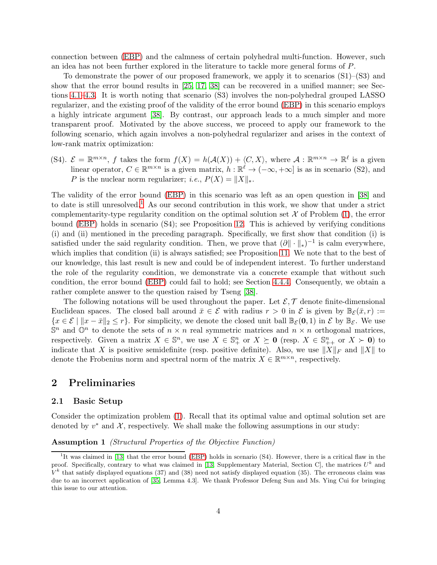connection between [\(EBP\)](#page-1-2) and the calmness of certain polyhedral multi-function. However, such an idea has not been further explored in the literature to tackle more general forms of P.

To demonstrate the power of our proposed framework, we apply it to scenarios (S1)–(S3) and show that the error bound results in [\[25,](#page-30-4) [17,](#page-30-5) [38\]](#page-31-0) can be recovered in a unified manner; see Sections [4.1](#page-16-0)[–4.3.](#page-17-0) It is worth noting that scenario (S3) involves the non-polyhedral grouped LASSO regularizer, and the existing proof of the validity of the error bound [\(EBP\)](#page-1-2) in this scenario employs a highly intricate argument [\[38\]](#page-31-0). By contrast, our approach leads to a much simpler and more transparent proof. Motivated by the above success, we proceed to apply our framework to the following scenario, which again involves a non-polyhedral regularizer and arises in the context of low-rank matrix optimization:

(S4).  $\mathcal{E} = \mathbb{R}^{m \times n}$ , f takes the form  $f(X) = h(\mathcal{A}(X)) + \langle C, X \rangle$ , where  $\mathcal{A} : \mathbb{R}^{m \times n} \to \mathbb{R}^{\ell}$  is a given linear operator,  $C \in \mathbb{R}^{m \times n}$  is a given matrix,  $h : \mathbb{R}^{\ell} \to (-\infty, +\infty]$  is as in scenario (S2), and P is the nuclear norm regularizer; *i.e.*,  $P(X) = ||X||_*$ .

The validity of the error bound [\(EBP\)](#page-1-2) in this scenario was left as an open question in [\[38\]](#page-31-0) and to date is still unresolved.<sup>[1](#page-3-0)</sup> As our second contribution in this work, we show that under a strict complementarity-type regularity condition on the optimal solution set  $\mathcal X$  of Problem [\(1\)](#page-0-0), the error bound [\(EBP\)](#page-1-2) holds in scenario (S4); see Proposition [12.](#page-25-0) This is achieved by verifying conditions (i) and (ii) mentioned in the preceding paragraph. Specifically, we first show that condition (i) is satisfied under the said regularity condition. Then, we prove that  $(\partial \|\cdot\|_*)^{-1}$  is calm everywhere, which implies that condition (ii) is always satisfied; see Proposition [11.](#page-25-1) We note that to the best of our knowledge, this last result is new and could be of independent interest. To further understand the role of the regularity condition, we demonstrate via a concrete example that without such condition, the error bound [\(EBP\)](#page-1-2) could fail to hold; see Section [4.4.4.](#page-25-2) Consequently, we obtain a rather complete answer to the question raised by Tseng [\[38\]](#page-31-0).

The following notations will be used throughout the paper. Let  $\mathcal{E}, \mathcal{T}$  denote finite-dimensional Euclidean spaces. The closed ball around  $\bar{x} \in \mathcal{E}$  with radius  $r > 0$  in  $\mathcal{E}$  is given by  $\mathbb{B}_{\mathcal{E}}(\bar{x}, r) :=$  ${x \in \mathcal{E} \mid ||x - \bar{x}||_2 \leq r}$ . For simplicity, we denote the closed unit ball  $\mathbb{B}_{\mathcal{E}}(\mathbf{0}, 1)$  in  $\mathcal{E}$  by  $\mathbb{B}_{\mathcal{E}}$ . We use  $\mathbb{S}^n$  and  $\mathbb{O}^n$  to denote the sets of  $n \times n$  real symmetric matrices and  $n \times n$  orthogonal matrices, respectively. Given a matrix  $X \in \mathbb{S}^n$ , we use  $X \in \mathbb{S}^n_+$  or  $X \succeq \mathbf{0}$  (resp.  $X \in \mathbb{S}^n_{++}$  or  $X \succ \mathbf{0}$ ) to indicate that X is positive semidefinite (resp. positive definite). Also, we use  $||X||_F$  and  $||X||$  to denote the Frobenius norm and spectral norm of the matrix  $X \in \mathbb{R}^{m \times n}$ , respectively.

### <span id="page-3-2"></span>2 Preliminaries

### 2.1 Basic Setup

<span id="page-3-1"></span>Consider the optimization problem [\(1\)](#page-0-0). Recall that its optimal value and optimal solution set are denoted by  $v^*$  and  $\mathcal{X}$ , respectively. We shall make the following assumptions in our study:

#### Assumption 1 (Structural Properties of the Objective Function)

<span id="page-3-0"></span><sup>&</sup>lt;sup>1</sup>It was claimed in [\[13\]](#page-29-3) that the error bound [\(EBP\)](#page-1-2) holds in scenario (S4). However, there is a critical flaw in the proof. Specifically, contrary to what was claimed in [\[13,](#page-29-3) Supplementary Material, Section C], the matrices  $U^k$  and  $V^k$  that satisfy displayed equations (37) and (38) need not satisfy displayed equation (35). The erroneous claim was due to an incorrect application of [\[35,](#page-31-7) Lemma 4.3]. We thank Professor Defeng Sun and Ms. Ying Cui for bringing this issue to our attention.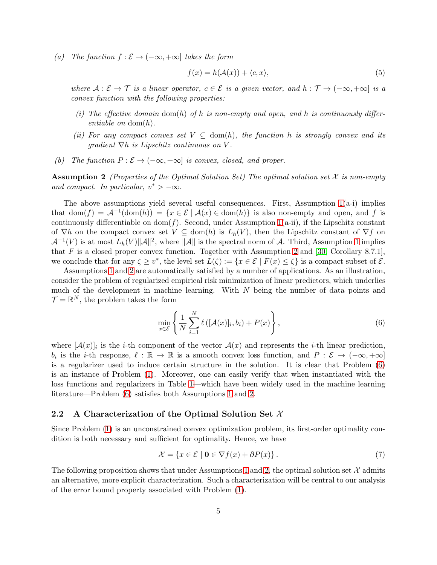(a) The function  $f : \mathcal{E} \to (-\infty, +\infty]$  takes the form

<span id="page-4-3"></span>
$$
f(x) = h(\mathcal{A}(x)) + \langle c, x \rangle,
$$
\n(5)

where  $A: \mathcal{E} \to \mathcal{T}$  is a linear operator,  $c \in \mathcal{E}$  is a given vector, and  $h: \mathcal{T} \to (-\infty, +\infty]$  is a convex function with the following properties:

- (i) The effective domain dom(h) of h is non-empty and open, and h is continuously differentiable on  $dom(h)$ .
- (ii) For any compact convex set  $V \subseteq \text{dom}(h)$ , the function h is strongly convex and its qradient  $\nabla h$  is Lipschitz continuous on V.
- <span id="page-4-1"></span>(b) The function  $P : \mathcal{E} \to (-\infty, +\infty]$  is convex, closed, and proper.

**Assumption 2** (Properties of the Optimal Solution Set) The optimal solution set  $X$  is non-empty and compact. In particular,  $v^* > -\infty$ .

The above assumptions yield several useful consequences. First, Assumption  $1(a-i)$  implies that  $dom(f) = \mathcal{A}^{-1}(dom(h)) = \{x \in \mathcal{E} \mid \mathcal{A}(x) \in dom(h)\}\$ is also non-empty and open, and f is continuously differentiable on  $dom(f)$ . Second, under Assumption [1\(](#page-3-1)a-ii), if the Lipschitz constant of  $\nabla h$  on the compact convex set  $V \subseteq \text{dom}(h)$  is  $L_h(V)$ , then the Lipschitz constant of  $\nabla f$  on  $\mathcal{A}^{-1}(V)$  is at most  $L_h(V) \|\mathcal{A}\|^2$ , where  $\|\mathcal{A}\|$  is the spectral norm of  $\mathcal{A}$ . Third, Assumption [1](#page-3-1) implies that  $F$  is a closed proper convex function. Together with Assumption [2](#page-4-1) and [\[30,](#page-30-7) Corollary 8.7.1], we conclude that for any  $\zeta \geq v^*$ , the level set  $L(\zeta) := \{x \in \mathcal{E} \mid F(x) \leq \zeta\}$  is a compact subset of  $\mathcal{E}$ .

Assumptions [1](#page-3-1) and [2](#page-4-1) are automatically satisfied by a number of applications. As an illustration, consider the problem of regularized empirical risk minimization of linear predictors, which underlies much of the development in machine learning. With  $N$  being the number of data points and  $\mathcal{T} = \mathbb{R}^N$ , the problem takes the form

<span id="page-4-2"></span>
$$
\min_{x \in \mathcal{E}} \left\{ \frac{1}{N} \sum_{i=1}^{N} \ell \left( [\mathcal{A}(x)]_i, b_i \right) + P(x) \right\},\tag{6}
$$

where  $[\mathcal{A}(x)]_i$  is the *i*-th component of the vector  $\mathcal{A}(x)$  and represents the *i*-th linear prediction,  $b_i$  is the *i*-th response,  $\ell : \mathbb{R} \to \mathbb{R}$  is a smooth convex loss function, and  $P : \mathcal{E} \to (-\infty, +\infty]$ is a regularizer used to induce certain structure in the solution. It is clear that Problem [\(6\)](#page-4-2) is an instance of Problem [\(1\)](#page-0-0). Moreover, one can easily verify that when instantiated with the loss functions and regularizers in Table [1—](#page-5-0)which have been widely used in the machine learning literature—Problem [\(6\)](#page-4-2) satisfies both Assumptions [1](#page-3-1) and [2.](#page-4-1)

### 2.2 A Characterization of the Optimal Solution Set  $\mathcal{X}$

Since Problem [\(1\)](#page-0-0) is an unconstrained convex optimization problem, its first-order optimality condition is both necessary and sufficient for optimality. Hence, we have

<span id="page-4-4"></span><span id="page-4-0"></span>
$$
\mathcal{X} = \{x \in \mathcal{E} \mid \mathbf{0} \in \nabla f(x) + \partial P(x)\}.
$$
 (7)

The following proposition shows that under Assumptions [1](#page-3-1) and [2,](#page-4-1) the optimal solution set  $\mathcal X$  admits an alternative, more explicit characterization. Such a characterization will be central to our analysis of the error bound property associated with Problem [\(1\)](#page-0-0).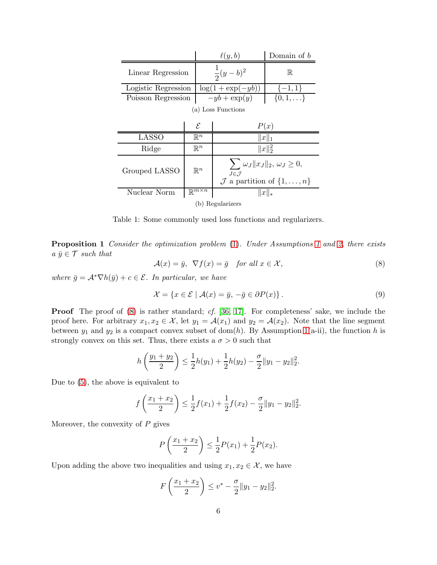<span id="page-5-0"></span>

|                     |                                     | $\ell(y,b)$                                                                                                          | Domain of $b$    |
|---------------------|-------------------------------------|----------------------------------------------------------------------------------------------------------------------|------------------|
| Linear Regression   |                                     | $\frac{1}{2}(y-b)^2$                                                                                                 | $\mathbb R$      |
| Logistic Regression |                                     | $\log(1+\exp(-yb))$                                                                                                  | $\{-1,1\}$       |
| Poisson Regression  |                                     | $-yb + \exp(y)$                                                                                                      | $\{0,1,\ldots\}$ |
| (a) Loss Functions  |                                     |                                                                                                                      |                  |
|                     | $\mathcal{E}_{0}$                   |                                                                                                                      | P(x)             |
| <b>LASSO</b>        | $\mathbb{R}^n$                      | $  x  _1$                                                                                                            |                  |
| Ridge               | $\mathbb{R}^n$                      | $  x  _2^2$                                                                                                          |                  |
| Grouped LASSO       | $\mathbb{R}^n$                      | $\sum \omega_J   x_J  _2, \, \omega_J \geq 0,$<br>$J\in\mathcal{J}$<br>$\mathcal{J}$ a partition of $\{1,\ldots,n\}$ |                  |
| Nuclear Norm        | $\mathbb{R}^{\overline{m\times n}}$ | $  x  _*$                                                                                                            |                  |
| (b) Regularizers    |                                     |                                                                                                                      |                  |

Table 1: Some commonly used loss functions and regularizers.

**Proposition [1](#page-3-1)** Consider the optimization problem [\(1\)](#page-0-0). Under Assumptions 1 and [2,](#page-4-1) there exists  $a \bar{y} \in \mathcal{T}$  such that

<span id="page-5-1"></span>
$$
\mathcal{A}(x) = \bar{y}, \ \nabla f(x) = \bar{g} \quad \text{for all } x \in \mathcal{X}, \tag{8}
$$

where  $\bar{g} = A^* \nabla h(\bar{y}) + c \in \mathcal{E}$ . In particular, we have

<span id="page-5-2"></span>
$$
\mathcal{X} = \{x \in \mathcal{E} \mid \mathcal{A}(x) = \bar{y}, \, -\bar{g} \in \partial P(x)\}.
$$
\n<sup>(9)</sup>

**Proof** The proof of [\(8\)](#page-5-1) is rather standard; cf. [\[36,](#page-31-8) [17\]](#page-30-5). For completeness' sake, we include the proof here. For arbitrary  $x_1, x_2 \in \mathcal{X}$ , let  $y_1 = \mathcal{A}(x_1)$  and  $y_2 = \mathcal{A}(x_2)$ . Note that the line segment between  $y_1$  and  $y_2$  is a compact convex subset of dom(h). By Assumption [1\(](#page-3-1)a-ii), the function h is strongly convex on this set. Thus, there exists a  $\sigma > 0$  such that

$$
h\left(\frac{y_1+y_2}{2}\right) \leq \frac{1}{2}h(y_1) + \frac{1}{2}h(y_2) - \frac{\sigma}{2}||y_1 - y_2||_2^2.
$$

Due to [\(5\)](#page-4-3), the above is equivalent to

$$
f\left(\frac{x_1+x_2}{2}\right) \leq \frac{1}{2}f(x_1) + \frac{1}{2}f(x_2) - \frac{\sigma}{2}||y_1 - y_2||_2^2.
$$

Moreover, the convexity of  $P$  gives

$$
P\left(\frac{x_1+x_2}{2}\right) \le \frac{1}{2}P(x_1) + \frac{1}{2}P(x_2).
$$

Upon adding the above two inequalities and using  $x_1, x_2 \in \mathcal{X}$ , we have

$$
F\left(\frac{x_1+x_2}{2}\right) \leq v^* - \frac{\sigma}{2} \|y_1 - y_2\|_2^2.
$$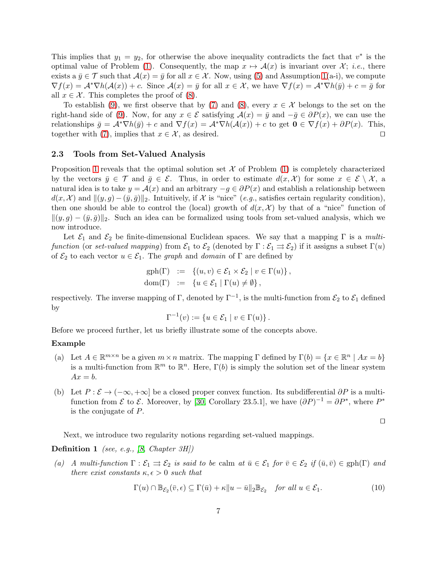This implies that  $y_1 = y_2$ , for otherwise the above inequality contradicts the fact that  $v^*$  is the optimal value of Problem [\(1\)](#page-0-0). Consequently, the map  $x \mapsto \mathcal{A}(x)$  is invariant over X; *i.e.*, there exists a  $\bar{y} \in \mathcal{T}$  such that  $\mathcal{A}(x) = \bar{y}$  for all  $x \in \mathcal{X}$ . Now, using [\(5\)](#page-4-3) and Assumption [1\(](#page-3-1)a-i), we compute  $\nabla f(x) = \mathcal{A}^* \nabla h(\mathcal{A}(x)) + c$ . Since  $\mathcal{A}(x) = \bar{y}$  for all  $x \in \mathcal{X}$ , we have  $\nabla f(x) = \mathcal{A}^* \nabla h(\bar{y}) + c = \bar{g}$  for all  $x \in \mathcal{X}$ . This completes the proof of [\(8\)](#page-5-1).

To establish [\(9\)](#page-5-2), we first observe that by [\(7\)](#page-4-4) and [\(8\)](#page-5-1), every  $x \in \mathcal{X}$  belongs to the set on the right-hand side of [\(9\)](#page-5-2). Now, for any  $x \in \mathcal{E}$  satisfying  $\mathcal{A}(x) = \bar{y}$  and  $-\bar{g} \in \partial P(x)$ , we can use the relationships  $\bar{g} = A^* \nabla h(\bar{y}) + c$  and  $\nabla f(x) = A^* \nabla h(A(x)) + c$  to get  $\mathbf{0} \in \nabla f(x) + \partial P(x)$ . This, together with (7), implies that  $x \in \mathcal{X}$ , as desired. together with [\(7\)](#page-4-4), implies that  $x \in \mathcal{X}$ , as desired.

### <span id="page-6-1"></span>2.3 Tools from Set-Valued Analysis

Proposition [1](#page-4-0) reveals that the optimal solution set  $\mathcal X$  of Problem [\(1\)](#page-0-0) is completely characterized by the vectors  $\bar{y} \in \mathcal{T}$  and  $\bar{g} \in \mathcal{E}$ . Thus, in order to estimate  $d(x, \mathcal{X})$  for some  $x \in \mathcal{E} \setminus \mathcal{X}$ , a natural idea is to take  $y = A(x)$  and an arbitrary  $-g \in \partial P(x)$  and establish a relationship between  $d(x, \mathcal{X})$  and  $\|(y, g) - (\bar{y}, \bar{g})\|_2$ . Intuitively, if X is "nice" (e.g., satisfies certain regularity condition), then one should be able to control the (local) growth of  $d(x, \mathcal{X})$  by that of a "nice" function of  $\|(y, g) - (\bar{y}, \bar{g})\|_2$ . Such an idea can be formalized using tools from set-valued analysis, which we now introduce.

Let  $\mathcal{E}_1$  and  $\mathcal{E}_2$  be finite-dimensional Euclidean spaces. We say that a mapping  $\Gamma$  is a multifunction (or set-valued mapping) from  $\mathcal{E}_1$  to  $\mathcal{E}_2$  (denoted by  $\Gamma : \mathcal{E}_1 \rightrightarrows \mathcal{E}_2$ ) if it assigns a subset  $\Gamma(u)$ of  $\mathcal{E}_2$  to each vector  $u \in \mathcal{E}_1$ . The graph and domain of  $\Gamma$  are defined by

$$
\begin{array}{rcl}\n\text{gph}(\Gamma) & := & \left\{(u, v) \in \mathcal{E}_1 \times \mathcal{E}_2 \mid v \in \Gamma(u)\right\}, \\
\text{dom}(\Gamma) & := & \left\{u \in \mathcal{E}_1 \mid \Gamma(u) \neq \emptyset\right\},\n\end{array}
$$

respectively. The inverse mapping of  $\Gamma$ , denoted by  $\Gamma^{-1}$ , is the multi-function from  $\mathcal{E}_2$  to  $\mathcal{E}_1$  defined by

$$
\Gamma^{-1}(v) := \{ u \in \mathcal{E}_1 \mid v \in \Gamma(u) \}.
$$

Before we proceed further, let us briefly illustrate some of the concepts above.

#### Example

- (a) Let  $A \in \mathbb{R}^{m \times n}$  be a given  $m \times n$  matrix. The mapping  $\Gamma$  defined by  $\Gamma(b) = \{x \in \mathbb{R}^n \mid Ax = b\}$ is a multi-function from  $\mathbb{R}^m$  to  $\mathbb{R}^n$ . Here,  $\Gamma(b)$  is simply the solution set of the linear system  $Ax = b$ .
- (b) Let  $P : \mathcal{E} \to (-\infty, +\infty]$  be a closed proper convex function. Its subdifferential  $\partial P$  is a multifunction from  $\mathcal E$  to  $\mathcal E$ . Moreover, by [\[30,](#page-30-7) Corollary 23.5.1], we have  $(\partial P)^{-1} = \partial P^*$ , where  $P^*$ is the conjugate of P.

$$
\Box
$$

Next, we introduce two regularity notions regarding set-valued mappings.

### **Definition 1** (see, e.g., [\[8,](#page-29-4) Chapter  $3H$ ])

(a) A multi-function  $\Gamma : \mathcal{E}_1 \rightrightarrows \mathcal{E}_2$  is said to be calm at  $\bar{u} \in \mathcal{E}_1$  for  $\bar{v} \in \mathcal{E}_2$  if  $(\bar{u}, \bar{v}) \in \text{gph}(\Gamma)$  and there exist constants  $\kappa, \epsilon > 0$  such that

<span id="page-6-0"></span>
$$
\Gamma(u) \cap \mathbb{B}_{\mathcal{E}_2}(\bar{v}, \epsilon) \subseteq \Gamma(\bar{u}) + \kappa \|u - \bar{u}\|_2 \mathbb{B}_{\mathcal{E}_2} \quad \text{for all } u \in \mathcal{E}_1.
$$
 (10)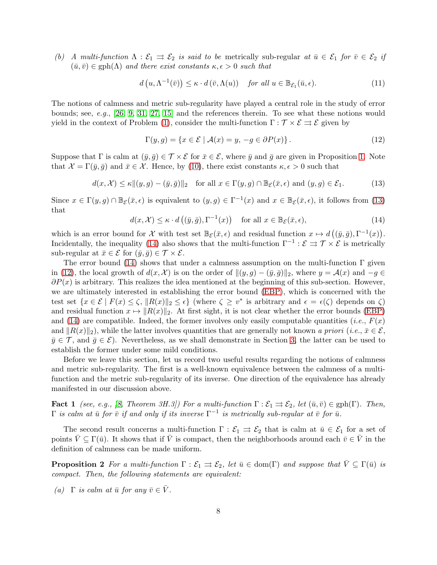(b) A multi-function  $\Lambda : \mathcal{E}_1 \rightrightarrows \mathcal{E}_2$  is said to be metrically sub-regular at  $\bar{u} \in \mathcal{E}_1$  for  $\bar{v} \in \mathcal{E}_2$  if  $(\bar{u}, \bar{v}) \in \text{gph}(\Lambda)$  and there exist constants  $\kappa, \epsilon > 0$  such that

$$
d(u, \Lambda^{-1}(\bar{v})) \leq \kappa \cdot d(\bar{v}, \Lambda(u)) \quad \text{for all } u \in \mathbb{B}_{\mathcal{E}_1}(\bar{u}, \epsilon). \tag{11}
$$

The notions of calmness and metric sub-regularity have played a central role in the study of error bounds; see, e.g., [\[26,](#page-30-2) [9,](#page-29-5) [31,](#page-30-8) [27,](#page-30-9) [15\]](#page-29-6) and the references therein. To see what these notions would yield in the context of Problem [\(1\)](#page-0-0), consider the multi-function  $\Gamma : \mathcal{T} \times \mathcal{E} \rightrightarrows \mathcal{E}$  given by

<span id="page-7-2"></span>
$$
\Gamma(y,g) = \{ x \in \mathcal{E} \mid \mathcal{A}(x) = y, \ -g \in \partial P(x) \}.
$$
\n(12)

Suppose that Γ is calm at  $(\bar{y}, \bar{g}) \in \mathcal{T} \times \mathcal{E}$  for  $\bar{x} \in \mathcal{E}$ , where  $\bar{y}$  and  $\bar{g}$  are given in Proposition [1.](#page-4-0) Note that  $\mathcal{X} = \Gamma(\bar{y}, \bar{g})$  and  $\bar{x} \in \mathcal{X}$ . Hence, by [\(10\)](#page-6-0), there exist constants  $\kappa, \epsilon > 0$  such that

<span id="page-7-0"></span>
$$
d(x, \mathcal{X}) \le \kappa ||(y, g) - (\bar{y}, \bar{g})||_2 \quad \text{for all } x \in \Gamma(y, g) \cap \mathbb{B}_{\mathcal{E}}(\bar{x}, \epsilon) \text{ and } (y, g) \in \mathcal{E}_1.
$$
 (13)

Since  $x \in \Gamma(y, g) \cap \mathbb{B}_{\mathcal{E}}(\bar{x}, \epsilon)$  is equivalent to  $(y, g) \in \Gamma^{-1}(x)$  and  $x \in \mathbb{B}_{\mathcal{E}}(\bar{x}, \epsilon)$ , it follows from [\(13\)](#page-7-0) that

<span id="page-7-1"></span>
$$
d(x, \mathcal{X}) \le \kappa \cdot d\left((\bar{y}, \bar{g}), \Gamma^{-1}(x)\right) \quad \text{for all } x \in \mathbb{B}_{\mathcal{E}}(\bar{x}, \epsilon), \tag{14}
$$

which is an error bound for X with test set  $\mathbb{B}_{\mathcal{E}}(\bar{x}, \epsilon)$  and residual function  $x \mapsto d((\bar{y}, \bar{g}), \Gamma^{-1}(x)).$ Incidentally, the inequality [\(14\)](#page-7-1) also shows that the multi-function  $\Gamma^{-1}$  :  $\mathcal{E} \rightrightarrows \mathcal{T} \times \mathcal{E}$  is metrically sub-regular at  $\bar{x} \in \mathcal{E}$  for  $(\bar{y}, \bar{g}) \in \mathcal{T} \times \mathcal{E}$ .

The error bound [\(14\)](#page-7-1) shows that under a calmness assumption on the multi-function  $\Gamma$  given in [\(12\)](#page-7-2), the local growth of  $d(x, \mathcal{X})$  is on the order of  $\|(y, g) - (\bar{y}, \bar{g})\|_2$ , where  $y = \mathcal{A}(x)$  and  $-g \in$  $\partial P(x)$  is arbitrary. This realizes the idea mentioned at the beginning of this sub-section. However, we are ultimately interested in establishing the error bound [\(EBP\)](#page-1-2), which is concerned with the test set  $\{x \in \mathcal{E} \mid F(x) \le \zeta, ||R(x)||_2 \le \epsilon\}$  (where  $\zeta \ge v^*$  is arbitrary and  $\epsilon = \epsilon(\zeta)$  depends on  $\zeta$ ) and residual function  $x \mapsto ||R(x)||_2$ . At first sight, it is not clear whether the error bounds [\(EBP\)](#page-1-2) and [\(14\)](#page-7-1) are compatible. Indeed, the former involves only easily computable quantities (*i.e.*,  $F(x)$ ) and  $||R(x)||_2$ , while the latter involves quantities that are generally not known a priori (i.e.,  $\bar{x} \in \mathcal{E}$ ,  $\bar{y} \in \mathcal{T}$ , and  $\bar{q} \in \mathcal{E}$ ). Nevertheless, as we shall demonstrate in Section [3,](#page-8-0) the latter can be used to establish the former under some mild conditions.

Before we leave this section, let us record two useful results regarding the notions of calmness and metric sub-regularity. The first is a well-known equivalence between the calmness of a multifunction and the metric sub-regularity of its inverse. One direction of the equivalence has already manifested in our discussion above.

<span id="page-7-4"></span>**Fact 1** (see, e.g., [\[8,](#page-29-4) Theorem 3H.3]) For a multi-function  $\Gamma : \mathcal{E}_1 \rightrightarrows \mathcal{E}_2$ , let  $(\bar{u}, \bar{v}) \in \text{gph}(\Gamma)$ . Then,  $\Gamma$  is calm at  $\bar u$  for  $\bar v$  if and only if its inverse  $\Gamma^{-1}$  is metrically sub-regular at  $\bar v$  for  $\bar u$ .

<span id="page-7-3"></span>The second result concerns a multi-function  $\Gamma : \mathcal{E}_1 \implies \mathcal{E}_2$  that is calm at  $\bar{u} \in \mathcal{E}_1$  for a set of points  $\bar{V} \subseteq \Gamma(\bar{u})$ . It shows that if  $\bar{V}$  is compact, then the neighborhoods around each  $\bar{v} \in \bar{V}$  in the definition of calmness can be made uniform.

**Proposition 2** For a multi-function  $\Gamma : \mathcal{E}_1 \rightrightarrows \mathcal{E}_2$ , let  $\bar{u} \in \text{dom}(\Gamma)$  and suppose that  $\bar{V} \subseteq \Gamma(\bar{u})$  is compact. Then, the following statements are equivalent:

(a)  $\Gamma$  is calm at  $\bar{u}$  for any  $\bar{v} \in \overline{V}$ .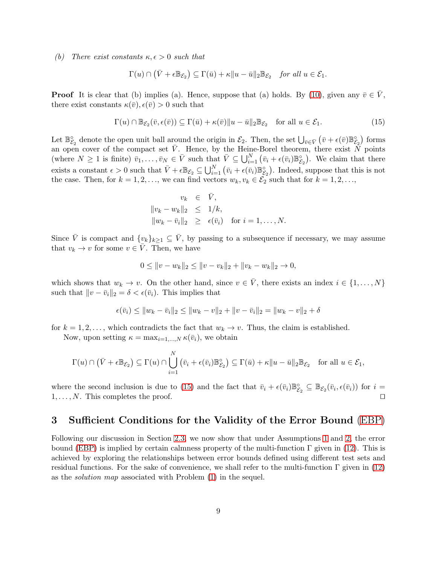(b) There exist constants  $\kappa, \epsilon > 0$  such that

$$
\Gamma(u) \cap (\bar{V} + \epsilon \mathbb{B}_{\mathcal{E}_2}) \subseteq \Gamma(\bar{u}) + \kappa \|u - \bar{u}\|_2 \mathbb{B}_{\mathcal{E}_2} \quad \text{for all } u \in \mathcal{E}_1.
$$

**Proof** It is clear that (b) implies (a). Hence, suppose that (a) holds. By [\(10\)](#page-6-0), given any  $\bar{v} \in \bar{V}$ , there exist constants  $\kappa(\bar{v}), \epsilon(\bar{v}) > 0$  such that

<span id="page-8-1"></span>
$$
\Gamma(u) \cap \mathbb{B}_{\mathcal{E}_2}(\bar{v}, \epsilon(\bar{v})) \subseteq \Gamma(\bar{u}) + \kappa(\bar{v}) \|u - \bar{u}\|_2 \mathbb{B}_{\mathcal{E}_2} \quad \text{for all } u \in \mathcal{E}_1.
$$
 (15)

Let  $\mathbb{B}_{\mathcal{E}_2}^{\circ}$  denote the open unit ball around the origin in  $\mathcal{E}_2$ . Then, the set  $\bigcup_{\bar{v}\in\bar{V}}(\bar{v}+\epsilon(\bar{v})\mathbb{B}_{\mathcal{E}_2}^{\circ})$  forms an open cover of the compact set  $\overline{V}$ . Hence, by the Heine-Borel theorem, there exist N points (where  $N \geq 1$  is finite)  $\bar{v}_1, \ldots, \bar{v}_N \in \bar{V}$  such that  $\bar{V} \subseteq \bigcup_{i=1}^N (\bar{v}_i + \epsilon(\bar{v}_i) \mathbb{B}_{\mathcal{E}_2}^{\circ})$ . We claim that there exists a constant  $\epsilon > 0$  such that  $\bar{V} + \epsilon \mathbb{B}_{\mathcal{E}_2} \subseteq \bigcup_{i=1}^N (\bar{v}_i + \epsilon(\bar{v}_i) \mathbb{B}_{\mathcal{E}_2}^{\circ})$ . Indeed, suppose that this is not the case. Then, for  $k = 1, 2, \ldots$ , we can find vectors  $w_k, v_k \in \mathcal{E}_2$  such that for  $k = 1, 2, \ldots$ ,

$$
v_k \in \overline{V},
$$
  
\n
$$
||v_k - w_k||_2 \le 1/k,
$$
  
\n
$$
||w_k - \overline{v}_i||_2 \ge \epsilon(\overline{v}_i) \text{ for } i = 1, ..., N.
$$

Since  $\bar{V}$  is compact and  $\{v_k\}_{k\geq 1} \subseteq \bar{V}$ , by passing to a subsequence if necessary, we may assume that  $v_k \to v$  for some  $v \in \overline{V}$ . Then, we have

$$
0 \le ||v - w_k||_2 \le ||v - v_k||_2 + ||v_k - w_k||_2 \to 0,
$$

which shows that  $w_k \to v$ . On the other hand, since  $v \in \overline{V}$ , there exists an index  $i \in \{1, \ldots, N\}$ such that  $||v - \bar{v}_i||_2 = \delta < \epsilon(\bar{v}_i)$ . This implies that

$$
\epsilon(\bar{v}_i) \le ||w_k - \bar{v}_i||_2 \le ||w_k - v||_2 + ||v - \bar{v}_i||_2 = ||w_k - v||_2 + \delta
$$

for  $k = 1, 2, \ldots$ , which contradicts the fact that  $w_k \to v$ . Thus, the claim is established.

Now, upon setting  $\kappa = \max_{i=1,\dots,N} \kappa(\bar{v}_i)$ , we obtain

$$
\Gamma(u) \cap (\bar{V} + \epsilon \mathbb{B}_{\mathcal{E}_2}) \subseteq \Gamma(u) \cap \bigcup_{i=1}^N (\bar{v}_i + \epsilon(\bar{v}_i) \mathbb{B}_{\mathcal{E}_2}^{\circ}) \subseteq \Gamma(\bar{u}) + \kappa \|u - \bar{u}\|_2 \mathbb{B}_{\mathcal{E}_2} \quad \text{for all } u \in \mathcal{E}_1,
$$

where the second inclusion is due to [\(15\)](#page-8-1) and the fact that  $\bar{v}_i + \epsilon(\bar{v}_i) \mathbb{B}_{\mathcal{E}_2}^{\circ} \subseteq \mathbb{B}_{\mathcal{E}_2}(\bar{v}_i, \epsilon(\bar{v}_i))$  for  $i =$  $1, \ldots, N$ . This completes the proof. □

### <span id="page-8-0"></span>3 Sufficient Conditions for the Validity of the Error Bound [\(EBP\)](#page-1-2)

Following our discussion in Section [2.3,](#page-6-1) we now show that under Assumptions [1](#page-3-1) and [2,](#page-4-1) the error bound [\(EBP\)](#page-1-2) is implied by certain calmness property of the multi-function  $\Gamma$  given in [\(12\)](#page-7-2). This is achieved by exploring the relationships between error bounds defined using different test sets and residual functions. For the sake of convenience, we shall refer to the multi-function  $\Gamma$  given in [\(12\)](#page-7-2) as the solution map associated with Problem [\(1\)](#page-0-0) in the sequel.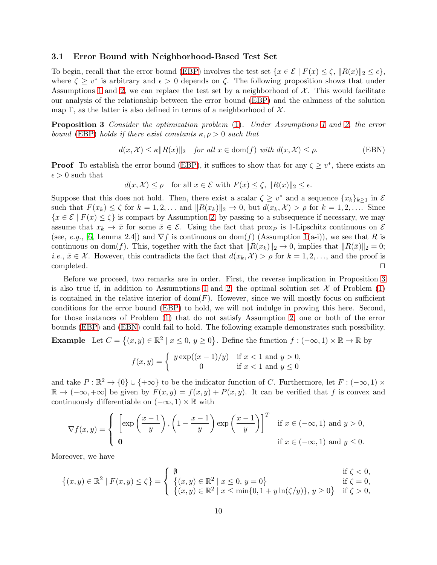### 3.1 Error Bound with Neighborhood-Based Test Set

To begin, recall that the error bound [\(EBP\)](#page-1-2) involves the test set  $\{x \in \mathcal{E} \mid F(x) \leq \zeta, \|R(x)\|_2 \leq \epsilon\}$ , where  $\zeta \geq v^*$  is arbitrary and  $\epsilon > 0$  depends on  $\zeta$ . The following proposition shows that under Assumptions [1](#page-3-1) and [2,](#page-4-1) we can replace the test set by a neighborhood of  $\mathcal{X}$ . This would facilitate our analysis of the relationship between the error bound [\(EBP\)](#page-1-2) and the calmness of the solution map Γ, as the latter is also defined in terms of a neighborhood of  $X$ .

Proposition 3 Consider the optimization problem [\(1\)](#page-0-0). Under Assumptions [1](#page-3-1) and [2,](#page-4-1) the error bound [\(EBP\)](#page-1-2) holds if there exist constants  $\kappa, \rho > 0$  such that

<span id="page-9-0"></span>
$$
d(x, \mathcal{X}) \le \kappa ||R(x)||_2 \quad \text{for all } x \in \text{dom}(f) \text{ with } d(x, \mathcal{X}) \le \rho. \tag{EBN}
$$

**Proof** To establish the error bound [\(EBP\)](#page-1-2), it suffices to show that for any  $\zeta \geq v^*$ , there exists an  $\epsilon > 0$  such that

<span id="page-9-1"></span>
$$
d(x, \mathcal{X}) \le \rho \quad \text{for all } x \in \mathcal{E} \text{ with } F(x) \le \zeta, \|R(x)\|_2 \le \epsilon.
$$

Suppose that this does not hold. Then, there exist a scalar  $\zeta \geq v^*$  and a sequence  $\{x_k\}_{k\geq 1}$  in  $\mathcal E$ such that  $F(x_k) \leq \zeta$  for  $k = 1, 2, \ldots$  and  $||R(x_k)||_2 \to 0$ , but  $d(x_k, \mathcal{X}) > \rho$  for  $k = 1, 2, \ldots$  Since  ${x \in \mathcal{E} \mid F(x) \leq \zeta}$  is compact by Assumption [2,](#page-4-1) by passing to a subsequence if necessary, we may assume that  $x_k \to \bar{x}$  for some  $\bar{x} \in \mathcal{E}$ . Using the fact that prox<sub>P</sub> is 1-Lipschitz continuous on  $\mathcal{E}$ (see, e.g., [\[6,](#page-29-2) Lemma 2.4]) and  $\nabla f$  is continuous on dom(f) (Assumption [1\(](#page-3-1)a-i)), we see that R is continuous on dom(f). This, together with the fact that  $||R(x_k)||_2 \to 0$ , implies that  $||R(\bar{x})||_2 = 0$ ; *i.e.*,  $\bar{x} \in \mathcal{X}$ . However, this contradicts the fact that  $d(x_k, \mathcal{X}) > \rho$  for  $k = 1, 2, \ldots$ , and the proof is completed. completed. ⊔⊓

Before we proceed, two remarks are in order. First, the reverse implication in Proposition [3](#page-9-0) is also true if, in addition to Assumptions [1](#page-3-1) and [2,](#page-4-1) the optimal solution set  $\mathcal X$  of Problem [\(1\)](#page-0-0) is contained in the relative interior of  $dom(F)$ . However, since we will mostly focus on sufficient conditions for the error bound [\(EBP\)](#page-1-2) to hold, we will not indulge in proving this here. Second, for those instances of Problem [\(1\)](#page-0-0) that do not satisfy Assumption [2,](#page-4-1) one or both of the error bounds [\(EBP\)](#page-1-2) and [\(EBN\)](#page-9-1) could fail to hold. The following example demonstrates such possibility.

**Example** Let  $C = \{(x, y) \in \mathbb{R}^2 \mid x \le 0, y \ge 0\}$ . Define the function  $f : (-\infty, 1) \times \mathbb{R} \to \mathbb{R}$  by

$$
f(x,y) = \begin{cases} y \exp((x-1)/y) & \text{if } x < 1 \text{ and } y > 0, \\ 0 & \text{if } x < 1 \text{ and } y \le 0 \end{cases}
$$

and take  $P: \mathbb{R}^2 \to \{0\} \cup \{+\infty\}$  to be the indicator function of C. Furthermore, let  $F: (-\infty, 1) \times$  $\mathbb{R} \to (-\infty, +\infty]$  be given by  $F(x, y) = f(x, y) + P(x, y)$ . It can be verified that f is convex and continuously differentiable on  $(-\infty, 1) \times \mathbb{R}$  with

$$
\nabla f(x,y) = \begin{cases} \left[ \exp\left(\frac{x-1}{y}\right), \left(1 - \frac{x-1}{y}\right) \exp\left(\frac{x-1}{y}\right) \right]^T & \text{if } x \in (-\infty, 1) \text{ and } y > 0, \\ 0 & \text{if } x \in (-\infty, 1) \text{ and } y \le 0. \end{cases}
$$

Moreover, we have

$$
\{(x,y) \in \mathbb{R}^2 \mid F(x,y) \le \zeta\} = \begin{cases} \emptyset & \text{if } \zeta < 0, \\ \{(x,y) \in \mathbb{R}^2 \mid x \le 0, y = 0\} & \text{if } \zeta = 0, \\ \{(x,y) \in \mathbb{R}^2 \mid x \le \min\{0, 1 + y \ln(\zeta/y)\}, y \ge 0\} & \text{if } \zeta > 0, \end{cases}
$$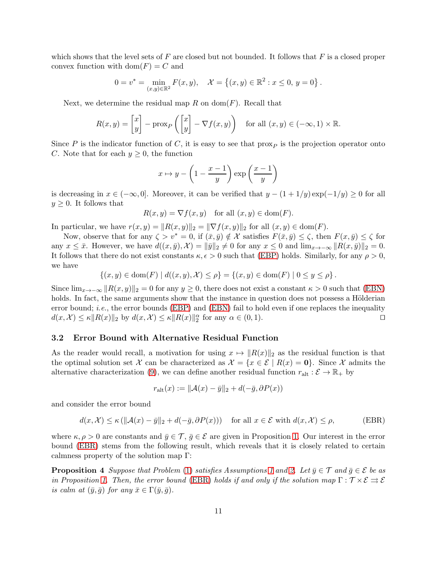which shows that the level sets of  $F$  are closed but not bounded. It follows that  $F$  is a closed proper convex function with  $dom(F) = C$  and

$$
0 = v^* = \min_{(x,y)\in\mathbb{R}^2} F(x,y), \quad \mathcal{X} = \{(x,y)\in\mathbb{R}^2 : x \le 0, y = 0\}.
$$

Next, we determine the residual map R on  $dom(F)$ . Recall that

$$
R(x,y) = \begin{bmatrix} x \\ y \end{bmatrix} - \text{prox}_P \left( \begin{bmatrix} x \\ y \end{bmatrix} - \nabla f(x,y) \right) \quad \text{for all } (x,y) \in (-\infty, 1) \times \mathbb{R}.
$$

Since P is the indicator function of C, it is easy to see that  $\{prox_{P}\}$  is the projection operator onto C. Note that for each  $y \geq 0$ , the function

$$
x \mapsto y - \left(1 - \frac{x-1}{y}\right) \exp\left(\frac{x-1}{y}\right)
$$

is decreasing in  $x \in (-\infty, 0]$ . Moreover, it can be verified that  $y - (1 + 1/y) \exp(-1/y) \ge 0$  for all  $y \geq 0$ . It follows that

$$
R(x, y) = \nabla f(x, y) \quad \text{for all } (x, y) \in \text{dom}(F).
$$

In particular, we have  $r(x, y) = ||R(x, y)||_2 = ||\nabla f(x, y)||_2$  for all  $(x, y) \in \text{dom}(F)$ .

Now, observe that for any  $\zeta > v^* = 0$ , if  $(\bar{x}, \bar{y}) \notin \mathcal{X}$  satisfies  $F(\bar{x}, \bar{y}) \leq \zeta$ , then  $F(x, \bar{y}) \leq \zeta$  for any  $x \leq \bar{x}$ . However, we have  $d((x, \bar{y}), \mathcal{X}) = ||\bar{y}||_2 \neq 0$  for any  $x \leq 0$  and  $\lim_{x \to -\infty} ||R(x, \bar{y})||_2 = 0$ . It follows that there do not exist constants  $\kappa, \epsilon > 0$  such that [\(EBP\)](#page-1-2) holds. Similarly, for any  $\rho > 0$ , we have

$$
\{(x, y) \in \text{dom}(F) \mid d((x, y), \mathcal{X}) \leq \rho\} = \{(x, y) \in \text{dom}(F) \mid 0 \leq y \leq \rho\}.
$$

Since  $\lim_{x\to-\infty}||R(x,y)||_2 = 0$  for any  $y \ge 0$ , there does not exist a constant  $\kappa > 0$  such that [\(EBN\)](#page-9-1) holds. In fact, the same arguments show that the instance in question does not possess a Hölderian error bound; *i.e.*, the error bounds [\(EBP\)](#page-1-2) and [\(EBN\)](#page-9-1) fail to hold even if one replaces the inequality  $d(x, \mathcal{X}) \leq \kappa ||R(x)||_2$  by  $d(x, \mathcal{X}) \leq \kappa ||R(x)||_2^{\alpha}$  for any  $\alpha \in (0, 1)$ .

### 3.2 Error Bound with Alternative Residual Function

As the reader would recall, a motivation for using  $x \mapsto ||R(x)||_2$  as the residual function is that the optimal solution set X can be characterized as  $\mathcal{X} = \{x \in \mathcal{E} \mid R(x) = 0\}$ . Since X admits the alternative characterization [\(9\)](#page-5-2), we can define another residual function  $r_{\text{alt}} : \mathcal{E} \to \mathbb{R}_+$  by

<span id="page-10-1"></span><span id="page-10-0"></span>
$$
r_{\text{alt}}(x) := \|\mathcal{A}(x) - \bar{y}\|_2 + d(-\bar{g}, \partial P(x))
$$

and consider the error bound

$$
d(x, \mathcal{X}) \le \kappa \left( \|\mathcal{A}(x) - \bar{y}\|_2 + d(-\bar{g}, \partial P(x)) \right) \quad \text{for all } x \in \mathcal{E} \text{ with } d(x, \mathcal{X}) \le \rho,
$$
 (EBR)

where  $\kappa, \rho > 0$  are constants and  $\bar{y} \in \mathcal{T}, \bar{g} \in \mathcal{E}$  are given in Proposition [1.](#page-4-0) Our interest in the error bound [\(EBR\)](#page-10-0) stems from the following result, which reveals that it is closely related to certain calmness property of the solution map Γ:

**Proposition 4** Suppose that Problem [\(1\)](#page-0-0) satisfies Assumptions [1](#page-3-1) and [2.](#page-4-1) Let  $\bar{y} \in \mathcal{T}$  and  $\bar{g} \in \mathcal{E}$  be as in Proposition [1.](#page-4-0) Then, the error bound [\(EBR\)](#page-10-0) holds if and only if the solution map  $\Gamma : \mathcal{T} \times \mathcal{E} \rightrightarrows \mathcal{E}$ is calm at  $(\bar{y}, \bar{g})$  for any  $\bar{x} \in \Gamma(\bar{y}, \bar{g})$ .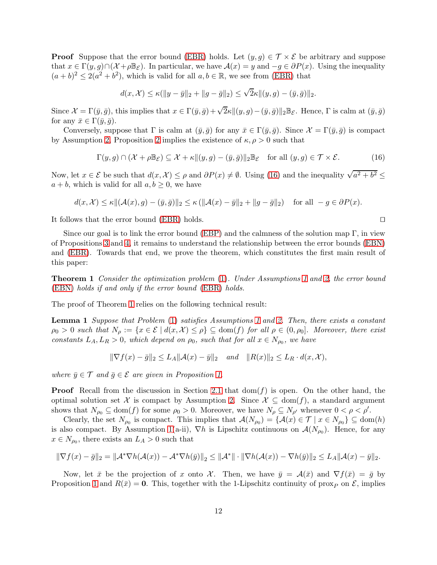**Proof** Suppose that the error bound [\(EBR\)](#page-10-0) holds. Let  $(y, g) \in \mathcal{T} \times \mathcal{E}$  be arbitrary and suppose that  $x \in \Gamma(y, g) \cap (\mathcal{X} + \rho \mathbb{B}_{\mathcal{E}})$ . In particular, we have  $\mathcal{A}(x) = y$  and  $-g \in \partial P(x)$ . Using the inequality  $(a + b)^2 \leq 2(a^2 + b^2)$ , which is valid for all  $a, b \in \mathbb{R}$ , we see from [\(EBR\)](#page-10-0) that

$$
d(x, \mathcal{X}) \le \kappa(\|y - \bar{y}\|_2 + \|g - \bar{g}\|_2) \le \sqrt{2}\kappa \|(y, g) - (\bar{y}, \bar{g})\|_2.
$$

Since  $\mathcal{X} = \Gamma(\bar{y}, \bar{g})$ , this implies that  $x \in \Gamma(\bar{y}, \bar{g}) + \sqrt{2\kappa} \| (y, g) - (\bar{y}, \bar{g}) \|_2 \mathbb{B}_{\mathcal{E}}$ . Hence,  $\Gamma$  is calm at  $(\bar{y}, \bar{g})$ for any  $\bar{x} \in \Gamma(\bar{y}, \bar{g})$ .

Conversely, suppose that  $\Gamma$  is calm at  $(\bar{y}, \bar{g})$  for any  $\bar{x} \in \Gamma(\bar{y}, \bar{g})$ . Since  $\mathcal{X} = \Gamma(\bar{y}, \bar{g})$  is compact by Assumption [2,](#page-4-1) Proposition [2](#page-7-3) implies the existence of  $\kappa, \rho > 0$  such that

<span id="page-11-0"></span>
$$
\Gamma(y,g) \cap (\mathcal{X} + \rho \mathbb{B}_{\mathcal{E}}) \subseteq \mathcal{X} + \kappa \| (y,g) - (\bar{y}, \bar{g}) \|_2 \mathbb{B}_{\mathcal{E}} \quad \text{for all } (y,g) \in \mathcal{T} \times \mathcal{E}.
$$
 (16)

Now, let  $x \in \mathcal{E}$  be such that  $d(x, \mathcal{X}) \leq \rho$  and  $\partial P(x) \neq \emptyset$ . Using [\(16\)](#page-11-0) and the inequality  $\sqrt{a^2 + b^2} \leq$  $a + b$ , which is valid for all  $a, b \geq 0$ , we have

$$
d(x, \mathcal{X}) \le \kappa ||(\mathcal{A}(x), g) - (\bar{y}, \bar{g})||_2 \le \kappa (||\mathcal{A}(x) - \bar{y}||_2 + ||g - \bar{g}||_2) \quad \text{for all } -g \in \partial P(x).
$$

It follows that the error bound [\(EBR\)](#page-10-0) holds. ⊔⊓

Since our goal is to link the error bound [\(EBP\)](#page-1-2) and the calmness of the solution map  $\Gamma$ , in view of Propositions [3](#page-9-0) and [4,](#page-10-1) it remains to understand the relationship between the error bounds [\(EBN\)](#page-9-1) and [\(EBR\)](#page-10-0). Towards that end, we prove the theorem, which constitutes the first main result of this paper:

<span id="page-11-1"></span>Theorem 1 Consider the optimization problem [\(1\)](#page-0-0). Under Assumptions [1](#page-3-1) and [2,](#page-4-1) the error bound [\(EBN\)](#page-9-1) holds if and only if the error bound [\(EBR\)](#page-10-0) holds.

The proof of Theorem [1](#page-11-1) relies on the following technical result:

Lemma 1 Suppose that Problem [\(1\)](#page-0-0) satisfies Assumptions [1](#page-3-1) and [2.](#page-4-1) Then, there exists a constant  $\rho_0 > 0$  such that  $N_\rho := \{x \in \mathcal{E} \mid d(x, \mathcal{X}) \leq \rho\} \subseteq \text{dom}(f)$  for all  $\rho \in (0, \rho_0]$ . Moreover, there exist constants  $L_A, L_R > 0$ , which depend on  $\rho_0$ , such that for all  $x \in N_{\rho_0}$ , we have

$$
\|\nabla f(x) - \bar{g}\|_2 \le L_A \|\mathcal{A}(x) - \bar{y}\|_2
$$
 and  $\|R(x)\|_2 \le L_R \cdot d(x, \mathcal{X}),$ 

where  $\bar{y} \in \mathcal{T}$  and  $\bar{g} \in \mathcal{E}$  are given in Proposition [1.](#page-4-0)

**Proof** Recall from the discussion in Section [2.1](#page-3-2) that  $dom(f)$  is open. On the other hand, the optimal solution set X is compact by Assumption [2.](#page-4-1) Since  $\mathcal{X} \subseteq \text{dom}(f)$ , a standard argument shows that  $N_{\rho_0} \subseteq \text{dom}(f)$  for some  $\rho_0 > 0$ . Moreover, we have  $N_{\rho} \subseteq N_{\rho'}$  whenever  $0 < \rho < \rho'$ .

Clearly, the set  $N_{\rho_0}$  is compact. This implies that  $\mathcal{A}(N_{\rho_0}) = \{ \mathcal{A}(x) \in \mathcal{T} \mid x \in N_{\rho_0} \} \subseteq \text{dom}(h)$ is also compact. By Assumption [1\(](#page-3-1)a-ii),  $\nabla h$  is Lipschitz continuous on  $\mathcal{A}(N_{\rho_0})$ . Hence, for any  $x \in N_{\rho_0}$ , there exists an  $L_A > 0$  such that

$$
\|\nabla f(x) - \bar{g}\|_2 = \|\mathcal{A}^* \nabla h(\mathcal{A}(x)) - \mathcal{A}^* \nabla h(\bar{y})\|_2 \le \|\mathcal{A}^*\| \cdot \|\nabla h(\mathcal{A}(x)) - \nabla h(\bar{y})\|_2 \le L_A \|\mathcal{A}(x) - \bar{y}\|_2.
$$

Now, let  $\bar{x}$  be the projection of x onto X. Then, we have  $\bar{y} = A(\bar{x})$  and  $\nabla f(\bar{x}) = \bar{g}$  by Proposition [1](#page-4-0) and  $R(\bar{x}) = 0$ . This, together with the 1-Lipschitz continuity of prox<sub>p</sub> on  $\mathcal{E}$ , implies

<span id="page-11-2"></span>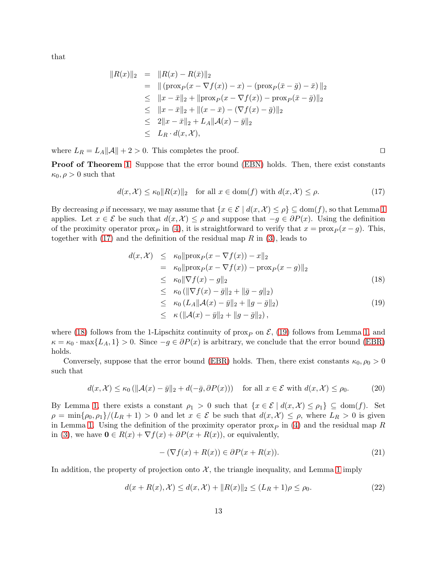that

$$
||R(x)||_2 = ||R(x) - R(\bar{x})||_2
$$
  
=  $||(\text{prox}_P(x - \nabla f(x)) - x) - (\text{prox}_P(\bar{x} - \bar{g}) - \bar{x})||_2$   
 $\leq ||x - \bar{x}||_2 + ||\text{prox}_P(x - \nabla f(x)) - \text{prox}_P(\bar{x} - \bar{g})||_2$   
 $\leq ||x - \bar{x}||_2 + ||(x - \bar{x}) - (\nabla f(x) - \bar{g})||_2$   
 $\leq 2||x - \bar{x}||_2 + L_A||A(x) - \bar{y}||_2$   
 $\leq L_R \cdot d(x, \mathcal{X}),$ 

where  $L_R = L_A ||A|| + 2 > 0$ . This completes the proof. □

**Proof of Theorem [1](#page-11-1)** Suppose that the error bound [\(EBN\)](#page-9-1) holds. Then, there exist constants  $\kappa_0, \rho > 0$  such that

<span id="page-12-0"></span>
$$
d(x, \mathcal{X}) \le \kappa_0 \|R(x)\|_2 \quad \text{for all } x \in \text{dom}(f) \text{ with } d(x, \mathcal{X}) \le \rho. \tag{17}
$$

By decreasing  $\rho$  if necessary, we may assume that  $\{x \in \mathcal{E} \mid d(x, \mathcal{X}) \leq \rho\} \subseteq \text{dom}(f)$ , so that Lemma [1](#page-11-2) applies. Let  $x \in \mathcal{E}$  be such that  $d(x, \mathcal{X}) \leq \rho$  and suppose that  $-g \in \partial P(x)$ . Using the definition of the proximity operator prox<sub>P</sub> in [\(4\)](#page-1-1), it is straightforward to verify that  $x = \text{prox}_P (x - g)$ . This, together with  $(17)$  and the definition of the residual map R in  $(3)$ , leads to

<span id="page-12-1"></span>
$$
d(x, \mathcal{X}) \leq \kappa_0 \|\text{prox}_P(x - \nabla f(x)) - x\|_2
$$
  
\n
$$
= \kappa_0 \|\text{prox}_P(x - \nabla f(x)) - \text{prox}_P(x - g)\|_2
$$
  
\n
$$
\leq \kappa_0 \|\nabla f(x) - g\|_2
$$
  
\n
$$
\leq \kappa_0 (\|\nabla f(x) - \bar{g}\|_2 + \|\bar{g} - g\|_2)
$$
  
\n
$$
\leq \kappa_0 (L_A \|\mathcal{A}(x) - \bar{y}\|_2 + \|g - \bar{g}\|_2)
$$
\n(19)

$$
\leq \kappa (\|\mathcal{A}(x) - \bar{y}\|_2 + \|g - \bar{g}\|_2),
$$

where [\(18\)](#page-12-1) follows from the 1-Lipschitz continuity of prox<sub>P</sub> on  $\mathcal{E}$ , [\(19\)](#page-12-1) follows from Lemma [1,](#page-11-2) and  $\kappa = \kappa_0 \cdot \max\{L_A, 1\} > 0$ . Since  $-g \in \partial P(x)$  is arbitrary, we conclude that the error bound [\(EBR\)](#page-10-0) holds.

Conversely, suppose that the error bound [\(EBR\)](#page-10-0) holds. Then, there exist constants  $\kappa_0$ ,  $\rho_0 > 0$ such that

<span id="page-12-2"></span>
$$
d(x, \mathcal{X}) \le \kappa_0 \left( \|\mathcal{A}(x) - \bar{y}\|_2 + d(-\bar{g}, \partial P(x)) \right) \quad \text{for all } x \in \mathcal{E} \text{ with } d(x, \mathcal{X}) \le \rho_0. \tag{20}
$$

By Lemma [1,](#page-11-2) there exists a constant  $\rho_1 > 0$  such that  $\{x \in \mathcal{E} \mid d(x, \mathcal{X}) \leq \rho_1\} \subseteq \text{dom}(f)$ . Set  $\rho = \min\{\rho_0, \rho_1\}/(L_R + 1) > 0$  and let  $x \in \mathcal{E}$  be such that  $d(x, \mathcal{X}) \leq \rho$ , where  $L_R > 0$  is given in Lemma [1.](#page-11-2) Using the definition of the proximity operator  $\gamma_P$  in [\(4\)](#page-1-1) and the residual map R in [\(3\)](#page-1-3), we have  $\mathbf{0} \in R(x) + \nabla f(x) + \partial P(x + R(x))$ , or equivalently,

$$
-(\nabla f(x) + R(x)) \in \partial P(x + R(x)).\tag{21}
$$

In addition, the property of projection onto  $\mathcal{X}$ , the triangle inequality, and Lemma [1](#page-11-2) imply

<span id="page-12-3"></span>
$$
d(x + R(x), \mathcal{X}) \le d(x, \mathcal{X}) + ||R(x)||_2 \le (L_R + 1)\rho \le \rho_0.
$$
 (22)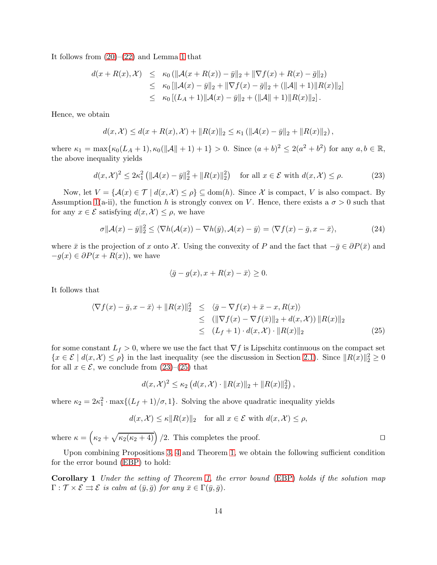It follows from  $(20)$ – $(22)$  and Lemma [1](#page-11-2) that

$$
d(x + R(x), \mathcal{X}) \leq \kappa_0 \left( \|\mathcal{A}(x + R(x)) - \bar{y}\|_2 + \|\nabla f(x) + R(x) - \bar{g}\|_2 \right)
$$
  
\n
$$
\leq \kappa_0 \left[ \|\mathcal{A}(x) - \bar{y}\|_2 + \|\nabla f(x) - \bar{g}\|_2 + (\|\mathcal{A}\| + 1)\|R(x)\|_2 \right]
$$
  
\n
$$
\leq \kappa_0 \left[ (L_A + 1) \|\mathcal{A}(x) - \bar{y}\|_2 + (\|\mathcal{A}\| + 1)\|R(x)\|_2 \right].
$$

Hence, we obtain

$$
d(x, \mathcal{X}) \leq d(x + R(x), \mathcal{X}) + ||R(x)||_2 \leq \kappa_1 (||\mathcal{A}(x) - \bar{y}||_2 + ||R(x)||_2),
$$

where  $\kappa_1 = \max{\kappa_0(L_A + 1), \kappa_0(\|\mathcal{A}\| + 1) + 1} > 0$ . Since  $(a + b)^2 \le 2(a^2 + b^2)$  for any  $a, b \in \mathbb{R}$ , the above inequality yields

<span id="page-13-1"></span>
$$
d(x,\mathcal{X})^2 \le 2\kappa_1^2 \left( \|\mathcal{A}(x) - \bar{y}\|_2^2 + \|R(x)\|_2^2 \right) \quad \text{for all } x \in \mathcal{E} \text{ with } d(x,\mathcal{X}) \le \rho. \tag{23}
$$

Now, let  $V = \{A(x) \in \mathcal{T} \mid d(x, \mathcal{X}) \leq \rho\} \subseteq \text{dom}(h)$ . Since X is compact, V is also compact. By Assumption [1\(](#page-3-1)a-ii), the function h is strongly convex on V. Hence, there exists a  $\sigma > 0$  such that for any  $x \in \mathcal{E}$  satisfying  $d(x, \mathcal{X}) \leq \rho$ , we have

$$
\sigma \|\mathcal{A}(x) - \bar{y}\|_2^2 \le \langle \nabla h(\mathcal{A}(x)) - \nabla h(\bar{y}), \mathcal{A}(x) - \bar{y} \rangle = \langle \nabla f(x) - \bar{g}, x - \bar{x} \rangle,\tag{24}
$$

where  $\bar{x}$  is the projection of x onto X. Using the convexity of P and the fact that  $-\bar{g} \in \partial P(\bar{x})$  and  $-g(x) \in \partial P(x + R(x))$ , we have

$$
\langle \bar{g} - g(x), x + R(x) - \bar{x} \rangle \ge 0.
$$

It follows that

<span id="page-13-2"></span>
$$
\langle \nabla f(x) - \bar{g}, x - \bar{x} \rangle + ||R(x)||_2^2 \leq \langle \bar{g} - \nabla f(x) + \bar{x} - x, R(x) \rangle
$$
  
\n
$$
\leq (||\nabla f(x) - \nabla f(\bar{x})||_2 + d(x, \mathcal{X})) ||R(x)||_2
$$
  
\n
$$
\leq (L_f + 1) \cdot d(x, \mathcal{X}) \cdot ||R(x)||_2
$$
\n(25)

for some constant  $L_f > 0$ , where we use the fact that  $\nabla f$  is Lipschitz continuous on the compact set  $\{x \in \mathcal{E} \mid d(x, \mathcal{X}) \leq \rho\}$  in the last inequality (see the discussion in Section [2.1\)](#page-3-2). Since  $||R(x)||_2^2 \geq 0$ for all  $x \in \mathcal{E}$ , we conclude from  $(23)$ – $(25)$  that

$$
d(x, \mathcal{X})^2 \le \kappa_2 \left( d(x, \mathcal{X}) \cdot ||R(x)||_2 + ||R(x)||_2^2 \right),
$$

where  $\kappa_2 = 2\kappa_1^2 \cdot \max\{(L_f + 1)/\sigma, 1\}$ . Solving the above quadratic inequality yields

<span id="page-13-0"></span>
$$
d(x, \mathcal{X}) \le \kappa \|R(x)\|_2 \quad \text{for all } x \in \mathcal{E} \text{ with } d(x, \mathcal{X}) \le \rho,
$$

where  $\kappa = (\kappa_2 + \sqrt{\kappa_2(\kappa_2 + 4)})/2$ . This completes the proof. □

Upon combining Propositions [3,](#page-9-0) [4](#page-10-1) and Theorem [1,](#page-11-1) we obtain the following sufficient condition for the error bound [\(EBP\)](#page-1-2) to hold:

Corollary 1 Under the setting of Theorem [1,](#page-11-1) the error bound [\(EBP\)](#page-1-2) holds if the solution map  $\Gamma : \mathcal{T} \times \mathcal{E} \rightrightarrows \mathcal{E}$  is calm at  $(\bar{y}, \bar{q})$  for any  $\bar{x} \in \Gamma(\bar{y}, \bar{q})$ .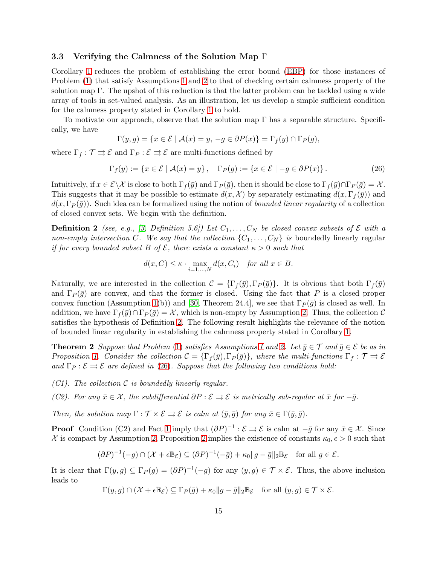### 3.3 Verifying the Calmness of the Solution Map Γ

Corollary [1](#page-13-0) reduces the problem of establishing the error bound [\(EBP\)](#page-1-2) for those instances of Problem [\(1\)](#page-0-0) that satisfy Assumptions [1](#page-3-1) and [2](#page-4-1) to that of checking certain calmness property of the solution map  $\Gamma$ . The upshot of this reduction is that the latter problem can be tackled using a wide array of tools in set-valued analysis. As an illustration, let us develop a simple sufficient condition for the calmness property stated in Corollary [1](#page-13-0) to hold.

To motivate our approach, observe that the solution map  $\Gamma$  has a separable structure. Specifically, we have

$$
\Gamma(y,g) = \{ x \in \mathcal{E} \mid \mathcal{A}(x) = y, \, -g \in \partial P(x) \} = \Gamma_f(y) \cap \Gamma_P(g),
$$

where  $\Gamma_f : \mathcal{T} \rightrightarrows \mathcal{E}$  and  $\Gamma_P : \mathcal{E} \rightrightarrows \mathcal{E}$  are multi-functions defined by

<span id="page-14-2"></span>
$$
\Gamma_f(y) := \{ x \in \mathcal{E} \mid \mathcal{A}(x) = y \}, \quad \Gamma_P(g) := \{ x \in \mathcal{E} \mid -g \in \partial P(x) \}.
$$
 (26)

Intuitively, if  $x \in \mathcal{E} \backslash \mathcal{X}$  is close to both  $\Gamma_f(\bar{y})$  and  $\Gamma_P(\bar{g})$ , then it should be close to  $\Gamma_f(\bar{y}) \cap \Gamma_P(\bar{g}) = \mathcal{X}$ . This suggests that it may be possible to estimate  $d(x, \mathcal{X})$  by separately estimating  $d(x, \Gamma_f(\bar{y}))$  and  $d(x, \Gamma_P(\bar{g}))$ . Such idea can be formalized using the notion of *bounded linear regularity* of a collection of closed convex sets. We begin with the definition.

**Definition 2** (see, e.g., [\[3,](#page-29-7) Definition 5.6]) Let  $C_1, \ldots, C_N$  be closed convex subsets of E with a non-empty intersection C. We say that the collection  $\{C_1, \ldots, C_N\}$  is boundedly linearly regular if for every bounded subset B of  $\mathcal{E}$ , there exists a constant  $\kappa > 0$  such that

<span id="page-14-1"></span><span id="page-14-0"></span>
$$
d(x, C) \le \kappa \cdot \max_{i=1,\dots,N} d(x, C_i) \quad \text{for all } x \in B.
$$

Naturally, we are interested in the collection  $\mathcal{C} = {\{\Gamma_f(\bar{y}), \Gamma_P(\bar{q})\}}$ . It is obvious that both  $\Gamma_f(\bar{y})$ and  $\Gamma_P(\bar{g})$  are convex, and that the former is closed. Using the fact that P is a closed proper convex function (Assumption [1\(](#page-3-1)b)) and [\[30,](#page-30-7) Theorem 24.4], we see that  $\Gamma_P(\bar{g})$  is closed as well. In addition, we have  $\Gamma_f(\bar{y}) \cap \Gamma_P(\bar{g}) = \mathcal{X}$ , which is non-empty by Assumption [2.](#page-4-1) Thus, the collection C satisfies the hypothesis of Definition [2.](#page-14-1) The following result highlights the relevance of the notion of bounded linear regularity in establishing the calmness property stated in Corollary [1.](#page-13-0)

**Theorem 2** Suppose that Problem [\(1\)](#page-0-0) satisfies Assumptions [1](#page-3-1) and [2.](#page-4-1) Let  $\bar{y} \in \mathcal{T}$  and  $\bar{g} \in \mathcal{E}$  be as in Proposition [1.](#page-4-0) Consider the collection  $C = {\{\Gamma_f(\bar{y}), \Gamma_P(\bar{g})\}}$ , where the multi-functions  $\Gamma_f : \mathcal{T} \rightrightarrows \mathcal{E}$ and  $\Gamma_P : \mathcal{E} \rightrightarrows \mathcal{E}$  are defined in [\(26\)](#page-14-2). Suppose that the following two conditions hold:

- $(C1)$ . The collection C is boundedly linearly regular.
- (C2). For any  $\bar{x} \in \mathcal{X}$ , the subdifferential  $\partial P : \mathcal{E} \rightrightarrows \mathcal{E}$  is metrically sub-regular at  $\bar{x}$  for  $-\bar{g}$ .

Then, the solution map  $\Gamma : \mathcal{T} \times \mathcal{E} \rightrightarrows \mathcal{E}$  is calm at  $(\bar{y}, \bar{q})$  for any  $\bar{x} \in \Gamma(\bar{y}, \bar{q})$ .

**Proof** Condition (C2) and Fact [1](#page-7-4) imply that  $(\partial P)^{-1} : \mathcal{E} \Rightarrow \mathcal{E}$  is calm at  $-\bar{g}$  for any  $\bar{x} \in \mathcal{X}$ . Since X is compact by Assumption [2,](#page-4-1) Proposition [2](#page-7-3) implies the existence of constants  $\kappa_0, \epsilon > 0$  such that

$$
(\partial P)^{-1}(-g) \cap (\mathcal{X} + \epsilon \mathbb{B}_{\mathcal{E}}) \subseteq (\partial P)^{-1}(-\bar{g}) + \kappa_0 \|g - \bar{g}\|_2 \mathbb{B}_{\mathcal{E}} \quad \text{for all } g \in \mathcal{E}.
$$

It is clear that  $\Gamma(y,g) \subseteq \Gamma_P(g) = (\partial P)^{-1}(-g)$  for any  $(y,g) \in \mathcal{T} \times \mathcal{E}$ . Thus, the above inclusion leads to

$$
\Gamma(y,g)\cap(\mathcal{X}+\epsilon\mathbb{B}_{\mathcal{E}})\subseteq\Gamma_P(\bar{g})+\kappa_0\|g-\bar{g}\|_2\mathbb{B}_{\mathcal{E}}\quad\text{for all }(y,g)\in\mathcal{T}\times\mathcal{E}.
$$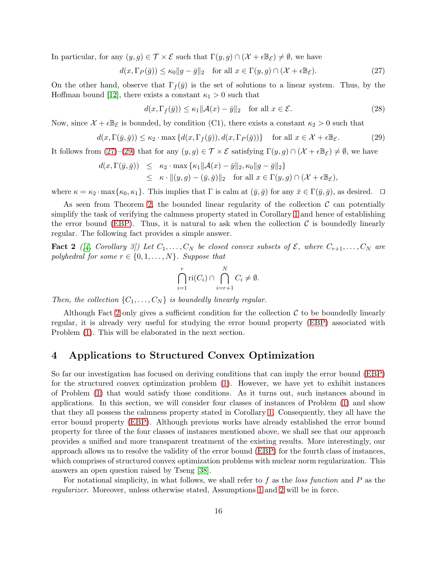In particular, for any  $(y, g) \in \mathcal{T} \times \mathcal{E}$  such that  $\Gamma(y, g) \cap (\mathcal{X} + \epsilon \mathbb{B}_{\mathcal{E}}) \neq \emptyset$ , we have

<span id="page-15-0"></span>
$$
d(x, \Gamma_P(\bar{g})) \le \kappa_0 \|g - \bar{g}\|_2 \quad \text{for all } x \in \Gamma(y, g) \cap (\mathcal{X} + \epsilon \mathbb{B}_{\mathcal{E}}). \tag{27}
$$

On the other hand, observe that  $\Gamma_f(\bar{y})$  is the set of solutions to a linear system. Thus, by the Hoffman bound [\[12\]](#page-29-8), there exists a constant  $\kappa_1 > 0$  such that

$$
d(x, \Gamma_f(\bar{y})) \le \kappa_1 \| \mathcal{A}(x) - \bar{y} \|_2 \quad \text{for all } x \in \mathcal{E}.
$$
 (28)

Now, since  $\mathcal{X} + \epsilon \mathbb{B}_{\mathcal{E}}$  is bounded, by condition (C1), there exists a constant  $\kappa_2 > 0$  such that

<span id="page-15-1"></span>
$$
d(x,\Gamma(\bar{y},\bar{g})) \le \kappa_2 \cdot \max\left\{d(x,\Gamma_f(\bar{y})),d(x,\Gamma_P(\bar{g}))\right\} \quad \text{for all } x \in \mathcal{X} + \epsilon \mathbb{B}_{\mathcal{E}}.
$$
 (29)

It follows from [\(27\)](#page-15-0)–[\(29\)](#page-15-1) that for any  $(y, g) \in \mathcal{T} \times \mathcal{E}$  satisfying  $\Gamma(y, g) \cap (\mathcal{X} + \epsilon \mathbb{B}_{\mathcal{E}}) \neq \emptyset$ , we have

$$
d(x, \Gamma(\bar{y}, \bar{g})) \le \kappa_2 \cdot \max \{\kappa_1 \| \mathcal{A}(x) - \bar{y} \|_2, \kappa_0 \| g - \bar{g} \|_2 \}
$$
  
 
$$
\le \kappa \cdot \| (y, g) - (\bar{y}, \bar{g}) \|_2 \quad \text{for all } x \in \Gamma(y, g) \cap (\mathcal{X} + \epsilon \mathbb{B}_{\mathcal{E}}),
$$

where  $\kappa = \kappa_2 \cdot \max{\kappa_0, \kappa_1}$ . This implies that  $\Gamma$  is calm at  $(\bar{y}, \bar{g})$  for any  $\bar{x} \in \Gamma(\bar{y}, \bar{g})$ , as desired.  $\Box$ 

As seen from Theorem [2,](#page-14-0) the bounded linear regularity of the collection  $\mathcal C$  can potentially simplify the task of verifying the calmness property stated in Corollary [1](#page-13-0) and hence of establishing the error bound [\(EBP\)](#page-1-2). Thus, it is natural to ask when the collection  $\mathcal C$  is boundedly linearly regular. The following fact provides a simple answer.

**Fact 2** ([\[4,](#page-29-9) Corollary 3]) Let  $C_1, \ldots, C_N$  be closed convex subsets of  $\mathcal{E}$ , where  $C_{r+1}, \ldots, C_N$  are polyhedral for some  $r \in \{0, 1, \ldots, N\}$ . Suppose that

<span id="page-15-2"></span>
$$
\bigcap_{i=1}^r \text{ri}(C_i) \cap \bigcap_{i=r+1}^N C_i \neq \emptyset.
$$

Then, the collection  $\{C_1, \ldots, C_N\}$  is boundedly linearly regular.

Although Fact [2](#page-15-2) only gives a sufficient condition for the collection  $\mathcal C$  to be boundedly linearly regular, it is already very useful for studying the error bound property [\(EBP\)](#page-1-2) associated with Problem [\(1\)](#page-0-0). This will be elaborated in the next section.

### 4 Applications to Structured Convex Optimization

So far our investigation has focused on deriving conditions that can imply the error bound [\(EBP\)](#page-1-2) for the structured convex optimization problem [\(1\)](#page-0-0). However, we have yet to exhibit instances of Problem [\(1\)](#page-0-0) that would satisfy those conditions. As it turns out, such instances abound in applications. In this section, we will consider four classes of instances of Problem [\(1\)](#page-0-0) and show that they all possess the calmness property stated in Corollary [1.](#page-13-0) Consequently, they all have the error bound property [\(EBP\)](#page-1-2). Although previous works have already established the error bound property for three of the four classes of instances mentioned above, we shall see that our approach provides a unified and more transparent treatment of the existing results. More interestingly, our approach allows us to resolve the validity of the error bound [\(EBP\)](#page-1-2) for the fourth class of instances, which comprises of structured convex optimization problems with nuclear norm regularization. This answers an open question raised by Tseng [\[38\]](#page-31-0).

For notational simplicity, in what follows, we shall refer to  $f$  as the *loss function* and  $P$  as the regularizer. Moreover, unless otherwise stated, Assumptions [1](#page-3-1) and [2](#page-4-1) will be in force.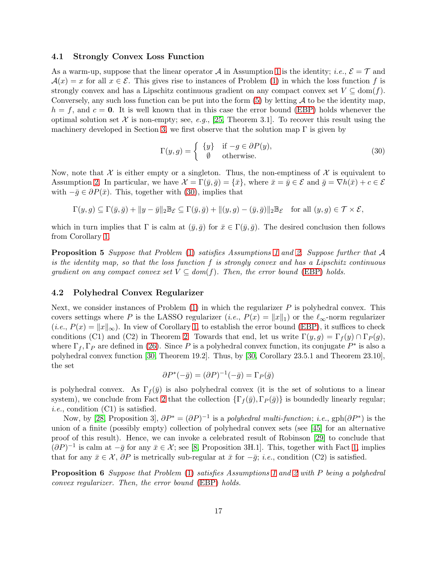### <span id="page-16-0"></span>4.1 Strongly Convex Loss Function

As a warm-up, suppose that the linear operator A in Assumption [1](#page-3-1) is the identity; i.e.,  $\mathcal{E} = \mathcal{T}$  and  $\mathcal{A}(x) = x$  for all  $x \in \mathcal{E}$ . This gives rise to instances of Problem [\(1\)](#page-0-0) in which the loss function f is strongly convex and has a Lipschitz continuous gradient on any compact convex set  $V \subseteq \text{dom}(f)$ . Conversely, any such loss function can be put into the form  $(5)$  by letting  $\mathcal A$  to be the identity map,  $h = f$ , and  $c = 0$ . It is well known that in this case the error bound [\(EBP\)](#page-1-2) holds whenever the optimal solution set X is non-empty; see, e.g., [\[25,](#page-30-4) Theorem 3.1]. To recover this result using the machinery developed in Section [3,](#page-8-0) we first observe that the solution map  $\Gamma$  is given by

<span id="page-16-1"></span>
$$
\Gamma(y,g) = \begin{cases} \{y\} & \text{if } -g \in \partial P(y), \\ \emptyset & \text{otherwise.} \end{cases} \tag{30}
$$

Now, note that X is either empty or a singleton. Thus, the non-emptiness of X is equivalent to Assumption [2.](#page-4-1) In particular, we have  $\mathcal{X} = \Gamma(\bar{y}, \bar{g}) = {\bar{x}}$ , where  $\bar{x} = \bar{y} \in \mathcal{E}$  and  $\bar{g} = \nabla h(\bar{x}) + c \in \mathcal{E}$ with  $-\bar{g} \in \partial P(\bar{x})$ . This, together with [\(30\)](#page-16-1), implies that

$$
\Gamma(y,g) \subseteq \Gamma(\bar{y},\bar{g}) + \|y-\bar{y}\|_2 \mathbb{B}_{\mathcal{E}} \subseteq \Gamma(\bar{y},\bar{g}) + \|(y,g) - (\bar{y},\bar{g})\|_2 \mathbb{B}_{\mathcal{E}} \quad \text{for all } (y,g) \in \mathcal{T} \times \mathcal{E},
$$

which in turn implies that  $\Gamma$  is calm at  $(\bar{y}, \bar{g})$  for  $\bar{x} \in \Gamma(\bar{y}, \bar{g})$ . The desired conclusion then follows from Corollary [1.](#page-13-0)

**Proposition 5** Suppose that Problem [\(1\)](#page-0-0) satisfies Assumptions [1](#page-3-1) and [2.](#page-4-1) Suppose further that A is the identity map, so that the loss function f is strongly convex and has a Lipschitz continuous gradient on any compact convex set  $V \subseteq dom(f)$ . Then, the error bound [\(EBP\)](#page-1-2) holds.

### 4.2 Polyhedral Convex Regularizer

Next, we consider instances of Problem  $(1)$  in which the regularizer P is polyhedral convex. This covers settings where P is the LASSO regularizer (*i.e.*,  $P(x) = ||x||_1$ ) or the  $\ell_{\infty}$ -norm regularizer  $(i.e., P(x) = ||x||_{\infty})$ . In view of Corollary [1,](#page-13-0) to establish the error bound [\(EBP\)](#page-1-2), it suffices to check conditions (C1) and (C2) in Theorem [2.](#page-14-0) Towards that end, let us write  $\Gamma(y, g) = \Gamma_f(y) \cap \Gamma_P(g)$ , where  $\Gamma_f$ ,  $\Gamma_P$  are defined in [\(26\)](#page-14-2). Since P is a polyhedral convex function, its conjugate  $P^*$  is also a polyhedral convex function [\[30,](#page-30-7) Theorem 19.2]. Thus, by [\[30,](#page-30-7) Corollary 23.5.1 and Theorem 23.10], the set

$$
\partial P^*(-\bar{g}) = (\partial P)^{-1}(-\bar{g}) = \Gamma_P(\bar{g})
$$

is polyhedral convex. As  $\Gamma_f(\bar{y})$  is also polyhedral convex (it is the set of solutions to a linear system), we conclude from Fact [2](#page-15-2) that the collection  $\{\Gamma_f(\bar{y}), \Gamma_P(\bar{g})\}$  is boundedly linearly regular; *i.e.*, condition  $(C1)$  is satisfied.

Now, by [\[28,](#page-30-10) Proposition 3],  $\partial P^* = (\partial P)^{-1}$  is a polyhedral multi-function; i.e.,  $gph(\partial P^*)$  is the union of a finite (possibly empty) collection of polyhedral convex sets (see [\[45\]](#page-31-9) for an alternative proof of this result). Hence, we can invoke a celebrated result of Robinson [\[29\]](#page-30-11) to conclude that  $(\partial P)^{-1}$  is calm at  $-\bar{g}$  for any  $\bar{x} \in \mathcal{X}$ ; see [\[8,](#page-29-4) Proposition 3H.1]. This, together with Fact [1,](#page-7-4) implies that for any  $\bar{x} \in \mathcal{X}$ ,  $\partial P$  is metrically sub-regular at  $\bar{x}$  for  $-\bar{g}$ ; *i.e.*, condition (C2) is satisfied.

Proposition 6 Suppose that Problem [\(1\)](#page-0-0) satisfies Assumptions [1](#page-3-1) and [2](#page-4-1) with P being a polyhedral convex regularizer. Then, the error bound [\(EBP\)](#page-1-2) holds.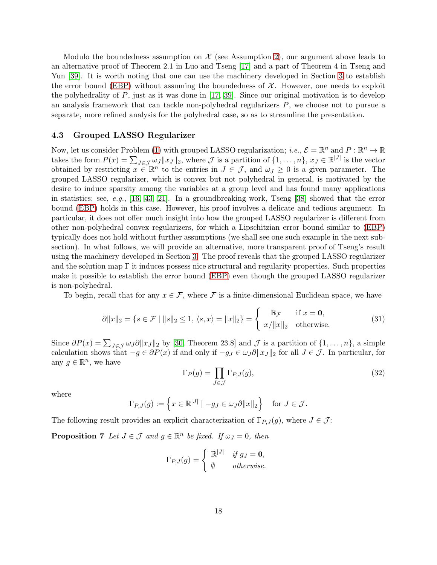Modulo the boundedness assumption on  $\mathcal X$  (see Assumption [2\)](#page-4-1), our argument above leads to an alternative proof of Theorem 2.1 in Luo and Tseng [\[17\]](#page-30-5) and a part of Theorem 4 in Tseng and Yun [\[39\]](#page-31-5). It is worth noting that one can use the machinery developed in Section [3](#page-8-0) to establish the error bound [\(EBP\)](#page-1-2) without assuming the boundedness of  $X$ . However, one needs to exploit the polyhedrality of P, just as it was done in [\[17,](#page-30-5) [39\]](#page-31-5). Since our original motivation is to develop an analysis framework that can tackle non-polyhedral regularizers  $P$ , we choose not to pursue a separate, more refined analysis for the polyhedral case, so as to streamline the presentation.

### <span id="page-17-0"></span>4.3 Grouped LASSO Regularizer

Now, let us consider Problem [\(1\)](#page-0-0) with grouped LASSO regularization; i.e.,  $\mathcal{E} = \mathbb{R}^n$  and  $P : \mathbb{R}^n \to \mathbb{R}$ takes the form  $P(x) = \sum_{J \in \mathcal{J}} \omega_J ||x_J||_2$ , where  $\mathcal{J}$  is a partition of  $\{1, \ldots, n\}$ ,  $x_J \in \mathbb{R}^{|J|}$  is the vector obtained by restricting  $x \in \mathbb{R}^n$  to the entries in  $J \in \mathcal{J}$ , and  $\omega_J \geq 0$  is a given parameter. The grouped LASSO regularizer, which is convex but not polyhedral in general, is motivated by the desire to induce sparsity among the variables at a group level and has found many applications in statistics; see, e.g., [\[16,](#page-30-12) [43,](#page-31-10) [21\]](#page-30-13). In a groundbreaking work, Tseng [\[38\]](#page-31-0) showed that the error bound [\(EBP\)](#page-1-2) holds in this case. However, his proof involves a delicate and tedious argument. In particular, it does not offer much insight into how the grouped LASSO regularizer is different from other non-polyhedral convex regularizers, for which a Lipschitzian error bound similar to [\(EBP\)](#page-1-2) typically does not hold without further assumptions (we shall see one such example in the next subsection). In what follows, we will provide an alternative, more transparent proof of Tseng's result using the machinery developed in Section [3.](#page-8-0) The proof reveals that the grouped LASSO regularizer and the solution map  $\Gamma$  it induces possess nice structural and regularity properties. Such properties make it possible to establish the error bound [\(EBP\)](#page-1-2) even though the grouped LASSO regularizer is non-polyhedral.

To begin, recall that for any  $x \in \mathcal{F}$ , where F is a finite-dimensional Euclidean space, we have

<span id="page-17-1"></span>
$$
\partial \|x\|_2 = \{ s \in \mathcal{F} \mid \|s\|_2 \le 1, \langle s, x \rangle = \|x\|_2 \} = \begin{cases} \mathbb{B}_{\mathcal{F}} & \text{if } x = \mathbf{0}, \\ x / \|x\|_2 & \text{otherwise.} \end{cases}
$$
(31)

Since  $\partial P(x) = \sum_{J \in \mathcal{J}} \omega_J \partial \|x_J\|_2$  by [\[30,](#page-30-7) Theorem 23.8] and  $\mathcal{J}$  is a partition of  $\{1, \ldots, n\}$ , a simple calculation shows that  $-g \in \partial P(x)$  if and only if  $-g_J \in \omega_J \partial ||x_J||_2$  for all  $J \in \mathcal{J}$ . In particular, for any  $g \in \mathbb{R}^n$ , we have

<span id="page-17-3"></span><span id="page-17-2"></span>
$$
\Gamma_P(g) = \prod_{J \in \mathcal{J}} \Gamma_{P,J}(g),\tag{32}
$$

where

$$
\Gamma_{P,J}(g) := \left\{ x \in \mathbb{R}^{|J|} \mid -g_J \in \omega_J \partial \|x\|_2 \right\} \text{ for } J \in \mathcal{J}.
$$

The following result provides an explicit characterization of  $\Gamma_{P,J}(g)$ , where  $J \in \mathcal{J}$ :

**Proposition 7** Let  $J \in \mathcal{J}$  and  $g \in \mathbb{R}^n$  be fixed. If  $\omega_J = 0$ , then

$$
\Gamma_{P,J}(g) = \begin{cases} \mathbb{R}^{|J|} & \text{if } g_J = \mathbf{0}, \\ \emptyset & otherwise. \end{cases}
$$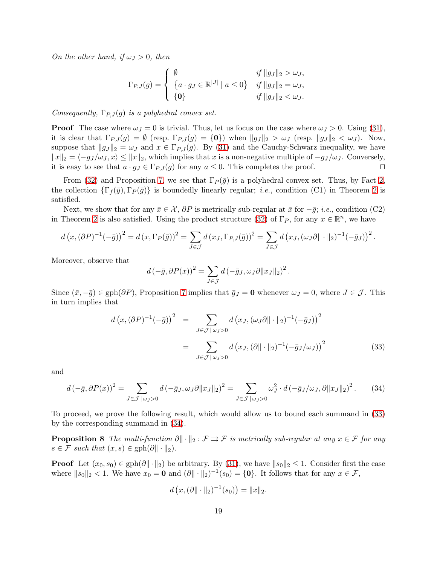On the other hand, if  $\omega_J > 0$ , then

$$
\Gamma_{P,J}(g) = \begin{cases} \n\emptyset & \text{if } \|g_J\|_2 > \omega_J, \\ \n\{a \cdot g_J \in \mathbb{R}^{|J|} \mid a \le 0\} & \text{if } \|g_J\|_2 = \omega_J, \\ \n\{\mathbf{0}\} & \text{if } \|g_J\|_2 < \omega_J. \n\end{cases}
$$

Consequently,  $\Gamma_{P,J}(g)$  is a polyhedral convex set.

**Proof** The case where  $\omega_J = 0$  is trivial. Thus, let us focus on the case where  $\omega_J > 0$ . Using [\(31\)](#page-17-1), it is clear that  $\Gamma_{P,J}(g) = \emptyset$  (resp.  $\Gamma_{P,J}(g) = \{0\}$ ) when  $||g_J||_2 > \omega_J$  (resp.  $||g_J||_2 < \omega_J$ ). Now, suppose that  $||g_J||_2 = \omega_J$  and  $x \in \Gamma_{P,J}(g)$ . By [\(31\)](#page-17-1) and the Cauchy-Schwarz inequality, we have  $||x||_2 = \langle -g_J / \omega_J, x \rangle \le ||x||_2$ , which implies that x is a non-negative multiple of  $-g_J / \omega_J$ . Conversely, it is easy to see that  $a \cdot g_J \in \Gamma_{P^J}(a)$  for any  $a \le 0$ . This completes the proof. it is easy to see that  $a \cdot g_J \in \Gamma_{P,J}(g)$  for any  $a \leq 0$ . This completes the proof.

From [\(32\)](#page-17-2) and Proposition [7,](#page-17-3) we see that  $\Gamma_P(\bar{g})$  is a polyhedral convex set. Thus, by Fact [2,](#page-15-2) the collection  $\{\Gamma_f(\bar{y}),\Gamma_P(\bar{g})\}$  is boundedly linearly regular; *i.e.*, condition (C1) in Theorem [2](#page-14-0) is satisfied.

Next, we show that for any  $\bar{x} \in \mathcal{X}$ ,  $\partial P$  is metrically sub-regular at  $\bar{x}$  for  $-\bar{g}$ ; *i.e.*, condition (C2) in Theorem [2](#page-14-0) is also satisfied. Using the product structure [\(32\)](#page-17-2) of  $\Gamma_P$ , for any  $x \in \mathbb{R}^n$ , we have

$$
d\left(x,(\partial P)^{-1}(-\bar{g})\right)^2 = d\left(x,\Gamma_P(\bar{g})\right)^2 = \sum_{J\in\mathcal{J}} d\left(x_J,\Gamma_{P,J}(\bar{g})\right)^2 = \sum_{J\in\mathcal{J}} d\left(x_J,(\omega_J\partial\|\cdot\|_2)^{-1}(-\bar{g}_J)\right)^2
$$

Moreover, observe that

$$
d(-\bar{g}, \partial P(x))^2 = \sum_{J \in \mathcal{J}} d(-\bar{g}_J, \omega_J \partial ||x_J||_2)^2.
$$

Since  $(\bar{x}, -\bar{g}) \in \text{gph}(\partial P)$ , Proposition [7](#page-17-3) implies that  $\bar{g}_J = 0$  whenever  $\omega_J = 0$ , where  $J \in \mathcal{J}$ . This in turn implies that

<span id="page-18-0"></span>
$$
d\left(x,(\partial P)^{-1}(-\bar{g})\right)^2 = \sum_{J \in \mathcal{J} \mid \omega_J > 0} d\left(x_J,(\omega_J \partial \|\cdot\|_2)^{-1}(-\bar{g}_J)\right)^2
$$

$$
= \sum_{J \in \mathcal{J} \mid \omega_J > 0} d\left(x_J,(\partial \|\cdot\|_2)^{-1}(-\bar{g}_J/\omega_J)\right)^2
$$
(33)

.

and

<span id="page-18-1"></span>
$$
d\left(-\bar{g},\partial P(x)\right)^2 = \sum_{J \in \mathcal{J} \setminus \omega_J > 0} d\left(-\bar{g}_J, \omega_J \partial \|x_J\|_2\right)^2 = \sum_{J \in \mathcal{J} \setminus \omega_J > 0} \omega_J^2 \cdot d\left(-\bar{g}_J / \omega_J, \partial \|x_J\|_2\right)^2. \tag{34}
$$

To proceed, we prove the following result, which would allow us to bound each summand in [\(33\)](#page-18-0) by the corresponding summand in [\(34\)](#page-18-1).

**Proposition 8** The multi-function  $\partial \|\cdot\|_2 : \mathcal{F} \rightrightarrows \mathcal{F}$  is metrically sub-regular at any  $x \in \mathcal{F}$  for any  $s \in \mathcal{F}$  such that  $(x, s) \in \text{gph}(\partial \|\cdot\|_2)$ .

**Proof** Let  $(x_0, s_0) \in \text{gph}(\partial \|\cdot\|_2)$  be arbitrary. By [\(31\)](#page-17-1), we have  $\|s_0\|_2 \leq 1$ . Consider first the case where  $||s_0||_2 < 1$ . We have  $x_0 = \mathbf{0}$  and  $(\partial || \cdot ||_2)^{-1}(s_0) = {\mathbf{0}}$ . It follows that for any  $x \in \mathcal{F}$ ,

<span id="page-18-2"></span>
$$
d(x, (\partial \|\cdot\|_2)^{-1}(s_0)) = \|x\|_2.
$$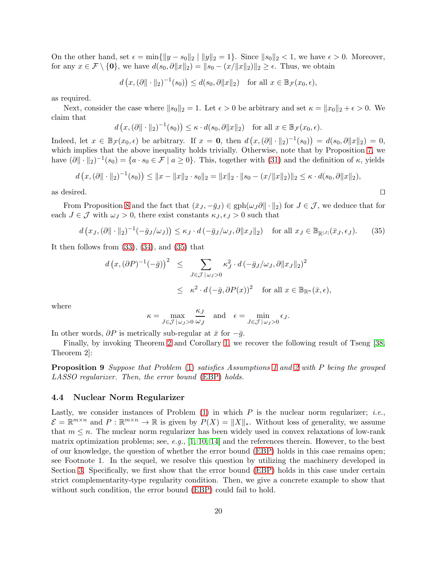On the other hand, set  $\epsilon = \min\{\|y - s_0\|_2 \mid \|y\|_2 = 1\}$ . Since  $\|s_0\|_2 < 1$ , we have  $\epsilon > 0$ . Moreover, for any  $x \in \mathcal{F} \setminus \{\mathbf{0}\}\)$ , we have  $d(s_0, \partial ||x||_2) = ||s_0 - (x/||x||_2)||_2 \ge \epsilon$ . Thus, we obtain

$$
d(x, (\partial \|\cdot\|_2)^{-1}(s_0)) \le d(s_0, \partial \|x\|_2)
$$
 for all  $x \in \mathbb{B}_{\mathcal{F}}(x_0, \epsilon)$ ,

as required.

Next, consider the case where  $||s_0||_2 = 1$ . Let  $\epsilon > 0$  be arbitrary and set  $\kappa = ||x_0||_2 + \epsilon > 0$ . We claim that

$$
d(x, (\partial \|\cdot\|_2)^{-1}(s_0)) \leq \kappa \cdot d(s_0, \partial \|x\|_2)
$$
 for all  $x \in \mathbb{B}_{\mathcal{F}}(x_0, \epsilon)$ .

Indeed, let  $x \in \mathbb{B}_{\mathcal{F}}(x_0, \epsilon)$  be arbitrary. If  $x = 0$ , then  $d(x, (\partial \|\cdot\|_2)^{-1}(s_0)) = d(s_0, \partial \|x\|_2) = 0$ , which implies that the above inequality holds trivially. Otherwise, note that by Proposition [7,](#page-17-3) we have  $(\partial \|\cdot\|_2)^{-1}(s_0) = \{a \cdot s_0 \in \mathcal{F} \mid a \ge 0\}$ . This, together with [\(31\)](#page-17-1) and the definition of  $\kappa$ , yields

$$
d(x,(\partial \|\cdot\|_2)^{-1}(s_0)) \le \|x - \|x\|_2 \cdot s_0\|_2 = \|x\|_2 \cdot \|s_0 - (x/\|x\|_2)\|_2 \le \kappa \cdot d(s_0, \partial \|x\|_2),
$$

as desired. ⊔⊓

From Proposition [8](#page-18-2) and the fact that  $(\bar{x}_J, -\bar{g}_J) \in gph(\omega_J \partial || \cdot ||_2)$  for  $J \in \mathcal{J}$ , we deduce that for each  $J \in \mathcal{J}$  with  $\omega_J > 0$ , there exist constants  $\kappa_J, \epsilon_J > 0$  such that

<span id="page-19-0"></span>
$$
d\left(x_J, (\partial \|\cdot\|_2)^{-1}(-\bar{g}_J/\omega_J)\right) \le \kappa_J \cdot d\left(-\bar{g}_J/\omega_J, \partial \|x_J\|_2\right) \quad \text{for all } x_J \in \mathbb{B}_{\mathbb{R}^{|J|}}(\bar{x}_J, \epsilon_J). \tag{35}
$$

It then follows from  $(33)$ ,  $(34)$ , and  $(35)$  that

$$
d(x, (\partial P)^{-1}(-\bar{g}))^{2} \leq \sum_{J \in \mathcal{J} \mid \omega_{J} > 0} \kappa_{J}^{2} \cdot d(-\bar{g}_{J}/\omega_{J}, \partial \|x_{J}\|_{2})^{2}
$$
  

$$
\leq \kappa^{2} \cdot d(-\bar{g}, \partial P(x))^{2} \text{ for all } x \in \mathbb{B}_{\mathbb{R}^{n}}(\bar{x}, \epsilon),
$$

where

$$
\kappa = \max_{J \in \mathcal{J} \,|\,\omega_J > 0} \frac{\kappa_J}{\omega_J} \quad \text{and} \quad \epsilon = \min_{J \in \mathcal{J} \,|\,\omega_J > 0} \epsilon_J.
$$

In other words,  $\partial P$  is metrically sub-regular at  $\bar{x}$  for  $-\bar{g}$ .

Finally, by invoking Theorem [2](#page-14-0) and Corollary [1,](#page-13-0) we recover the following result of Tseng [\[38,](#page-31-0) Theorem 2]:

**Proposition 9** Suppose that Problem [\(1\)](#page-0-0) satisfies Assumptions [1](#page-3-1) and [2](#page-4-1) with P being the grouped LASSO regularizer. Then, the error bound [\(EBP\)](#page-1-2) holds.

### 4.4 Nuclear Norm Regularizer

Lastly, we consider instances of Problem  $(1)$  in which P is the nuclear norm regularizer; *i.e.*,  $\mathcal{E} = \mathbb{R}^{m \times n}$  and  $P : \mathbb{R}^{m \times n} \to \mathbb{R}$  is given by  $P(X) = ||X||_*$ . Without loss of generality, we assume that  $m \leq n$ . The nuclear norm regularizer has been widely used in convex relaxations of low-rank matrix optimization problems; see, e.g.,  $[1, 10, 14]$  $[1, 10, 14]$  $[1, 10, 14]$  and the references therein. However, to the best of our knowledge, the question of whether the error bound [\(EBP\)](#page-1-2) holds in this case remains open; see Footnote 1. In the sequel, we resolve this question by utilizing the machinery developed in Section [3.](#page-8-0) Specifically, we first show that the error bound [\(EBP\)](#page-1-2) holds in this case under certain strict complementarity-type regularity condition. Then, we give a concrete example to show that without such condition, the error bound [\(EBP\)](#page-1-2) could fail to hold.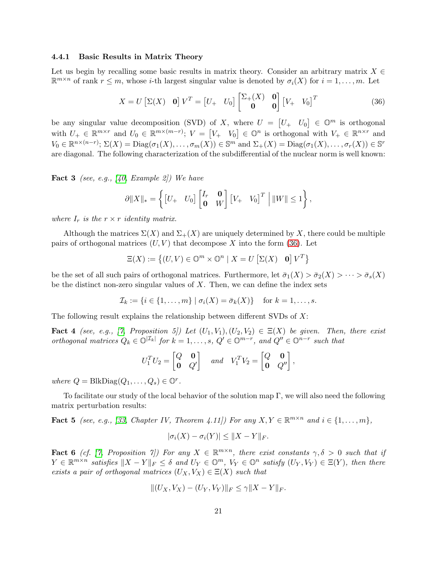#### <span id="page-20-1"></span>4.4.1 Basic Results in Matrix Theory

Let us begin by recalling some basic results in matrix theory. Consider an arbitrary matrix  $X \in$  $\mathbb{R}^{m \times n}$  of rank  $r \leq m$ , whose *i*-th largest singular value is denoted by  $\sigma_i(X)$  for  $i = 1, ..., m$ . Let

<span id="page-20-0"></span>
$$
X = U \begin{bmatrix} \Sigma(X) & \mathbf{0} \end{bmatrix} V^T = \begin{bmatrix} U_+ & U_0 \end{bmatrix} \begin{bmatrix} \Sigma_+(X) & \mathbf{0} \\ \mathbf{0} & \mathbf{0} \end{bmatrix} \begin{bmatrix} V_+ & V_0 \end{bmatrix}^T
$$
(36)

be any singular value decomposition (SVD) of X, where  $U = \begin{bmatrix} U_+ & U_0 \end{bmatrix} \in \mathbb{O}^m$  is orthogonal with  $U_+ \in \mathbb{R}^{m \times r}$  and  $U_0 \in \mathbb{R}^{m \times (m-r)}$ ;  $V = [V_+ V_0] \in \mathbb{O}^n$  is orthogonal with  $V_+ \in \mathbb{R}^{n \times r}$  and  $V_0 \in \mathbb{R}^{n \times (n-r)}$ ;  $\Sigma(X) = \text{Diag}(\sigma_1(X), \dots, \sigma_m(X)) \in \mathbb{S}^m$  and  $\Sigma_+(X) = \text{Diag}(\sigma_1(X), \dots, \sigma_r(X)) \in \mathbb{S}^r$ are diagonal. The following characterization of the subdifferential of the nuclear norm is well known:

<span id="page-20-2"></span>**Fact 3** (see, e.g., [\[40,](#page-31-11) Example 2]) We have

$$
\partial ||X||_* = \left\{ \begin{bmatrix} U_+ & U_0 \end{bmatrix} \begin{bmatrix} I_r & \mathbf{0} \\ \mathbf{0} & W \end{bmatrix} \begin{bmatrix} V_+ & V_0 \end{bmatrix}^T \middle| ||W|| \leq 1 \right\},\
$$

where  $I_r$  is the  $r \times r$  identity matrix.

Although the matrices  $\Sigma(X)$  and  $\Sigma_{+}(X)$  are uniquely determined by X, there could be multiple pairs of orthogonal matrices  $(U, V)$  that decompose X into the form [\(36\)](#page-20-0). Let

$$
\Xi(X) := \{(U, V) \in \mathbb{O}^m \times \mathbb{O}^n \mid X = U \left[\Sigma(X) \quad \mathbf{0}\right] V^T\}
$$

be the set of all such pairs of orthogonal matrices. Furthermore, let  $\bar{\sigma}_1(X) > \bar{\sigma}_2(X) > \cdots > \bar{\sigma}_s(X)$ be the distinct non-zero singular values of  $X$ . Then, we can define the index sets

$$
\mathcal{I}_k := \{i \in \{1, \ldots, m\} \mid \sigma_i(X) = \bar{\sigma}_k(X)\} \quad \text{for } k = 1, \ldots, s.
$$

The following result explains the relationship between different SVDs of  $X$ :

**Fact 4** (see, e.g., [\[7,](#page-29-13) Proposition 5]) Let  $(U_1, V_1), (U_2, V_2) \in \Xi(X)$  be given. Then, there exist orthogonal matrices  $Q_k \in \mathbb{O}^{|\mathcal{I}_k|}$  for  $k = 1, ..., s$ ,  $Q' \in \mathbb{O}^{m-r}$ , and  $Q'' \in \mathbb{O}^{n-r}$  such that

$$
U_1^T U_2 = \begin{bmatrix} Q & \mathbf{0} \\ \mathbf{0} & Q' \end{bmatrix} \quad and \quad V_1^T V_2 = \begin{bmatrix} Q & \mathbf{0} \\ \mathbf{0} & Q'' \end{bmatrix}
$$

<span id="page-20-3"></span>,

where  $Q = \text{BlkDiag}(Q_1, \ldots, Q_s) \in \mathbb{O}^r$ .

To facilitate our study of the local behavior of the solution map  $\Gamma$ , we will also need the following matrix perturbation results:

**Fact 5** (see, e.g., [\[33,](#page-31-12) Chapter IV, Theorem 4.11]) For any  $X, Y \in \mathbb{R}^{m \times n}$  and  $i \in \{1, ..., m\}$ ,

<span id="page-20-5"></span>
$$
|\sigma_i(X) - \sigma_i(Y)| \leq ||X - Y||_F.
$$

<span id="page-20-4"></span>**Fact 6** (cf. [\[7,](#page-29-13) Proposition 7]) For any  $X \in \mathbb{R}^{m \times n}$ , there exist constants  $\gamma, \delta > 0$  such that if  $Y \in \mathbb{R}^{m \times n}$  satisfies  $||X - Y||_F \leq \delta$  and  $U_Y \in \mathbb{O}^m$ ,  $V_Y \in \mathbb{O}^n$  satisfy  $(U_Y, V_Y) \in \Xi(Y)$ , then there exists a pair of orthogonal matrices  $(U_X, V_X) \in \Xi(X)$  such that

$$
||(U_X, V_X) - (U_Y, V_Y)||_F \le \gamma ||X - Y||_F.
$$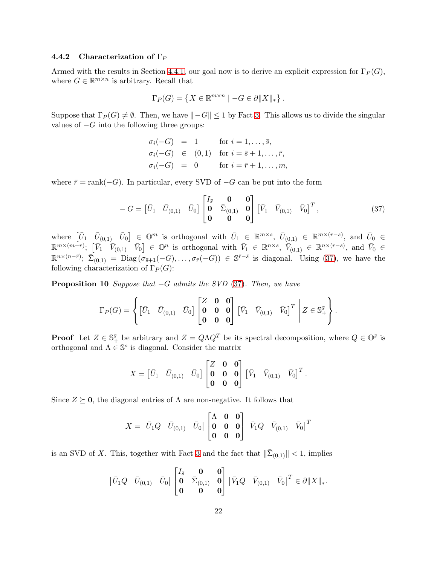### 4.4.2 Characterization of  $\Gamma_P$

Armed with the results in Section [4.4.1,](#page-20-1) our goal now is to derive an explicit expression for  $\Gamma_P(G)$ , where  $G \in \mathbb{R}^{m \times n}$  is arbitrary. Recall that

$$
\Gamma_P(G) = \left\{ X \in \mathbb{R}^{m \times n} \mid -G \in \partial \|X\|_* \right\}.
$$

Suppose that  $\Gamma_P(G) \neq \emptyset$ . Then, we have  $\|-G\| \leq 1$  by Fact [3.](#page-20-2) This allows us to divide the singular values of  $-G$  into the following three groups:

$$
\begin{aligned}\n\sigma_i(-G) &= 1 & \text{for } i = 1, \dots, \bar{s}, \\
\sigma_i(-G) &\in (0,1) & \text{for } i = \bar{s} + 1, \dots, \bar{r}, \\
\sigma_i(-G) &= 0 & \text{for } i = \bar{r} + 1, \dots, m,\n\end{aligned}
$$

where  $\bar{r} = \text{rank}(-G)$ . In particular, every SVD of  $-G$  can be put into the form

<span id="page-21-0"></span>
$$
- G = \begin{bmatrix} \bar{U}_1 & \bar{U}_{(0,1)} & \bar{U}_0 \end{bmatrix} \begin{bmatrix} I_{\bar{s}} & \mathbf{0} & \mathbf{0} \\ \mathbf{0} & \bar{\Sigma}_{(0,1)} & \mathbf{0} \\ \mathbf{0} & \mathbf{0} & \mathbf{0} \end{bmatrix} \begin{bmatrix} \bar{V}_1 & \bar{V}_{(0,1)} & \bar{V}_0 \end{bmatrix}^T, \tag{37}
$$

where  $[\bar{U}_1 \quad \bar{U}_{(0,1)} \quad \bar{U}_0] \in \mathbb{O}^m$  is orthogonal with  $\bar{U}_1 \in \mathbb{R}^{m \times \bar{s}}$ ,  $\bar{U}_{(0,1)} \in \mathbb{R}^{m \times (\bar{r}-\bar{s})}$ , and  $\bar{U}_0 \in$  $\mathbb{R}^{m\times(m-\bar{r})};\,\,\left[\bar{V}_1\quad \bar{V}_{(0,1)}\quad \bar{V}_0\right]\,\in\,\mathbb{O}^n\,\,\,\text{is orthogonal with}\,\,\,\bar{V}_1\,\in\,\mathbb{R}^{n\times\bar{s}},\,\,\bar{V}_{(0,1)}\,\,\in\,\mathbb{R}^{n\times(\bar{r}-\bar{s})},\,\,\text{and}\,\,\,\bar{V}_0\,\in\,\mathbb{R}^{n+1}$  $\mathbb{R}^{n \times (n-\bar{r})}$ ;  $\bar{\Sigma}_{(0,1)} = \text{Diag}(\sigma_{\bar{s}+1}(-G), \ldots, \sigma_{\bar{r}}(-G)) \in \mathbb{S}^{\bar{r}-\bar{s}}$  is diagonal. Using [\(37\)](#page-21-0), we have the following characterization of  $\Gamma_P(G)$ :

**Proposition 10** Suppose that  $-G$  admits the SVD [\(37\)](#page-21-0). Then, we have

<span id="page-21-1"></span>
$$
\Gamma_P(G) = \left\{ \begin{bmatrix} \bar{U}_1 & \bar{U}_{(0,1)} & \bar{U}_0 \end{bmatrix} \begin{bmatrix} Z & \mathbf{0} & \mathbf{0} \\ \mathbf{0} & \mathbf{0} & \mathbf{0} \\ \mathbf{0} & \mathbf{0} & \mathbf{0} \end{bmatrix} \begin{bmatrix} \bar{V}_1 & \bar{V}_{(0,1)} & \bar{V}_0 \end{bmatrix}^T \middle| Z \in \mathbb{S}_{+}^{\bar{s}} \right\}.
$$

**Proof** Let  $Z \in \mathbb{S}_{+}^{\bar{s}}$  be arbitrary and  $Z = Q \Lambda Q^{T}$  be its spectral decomposition, where  $Q \in \mathbb{O}^{\bar{s}}$  is orthogonal and  $\Lambda \in \mathbb{S}^{\bar{s}}$  is diagonal. Consider the matrix

$$
X = \begin{bmatrix} \bar{U}_1 & \bar{U}_{(0,1)} & \bar{U}_0 \end{bmatrix} \begin{bmatrix} Z & \mathbf{0} & \mathbf{0} \\ \mathbf{0} & \mathbf{0} & \mathbf{0} \\ \mathbf{0} & \mathbf{0} & \mathbf{0} \end{bmatrix} \begin{bmatrix} \bar{V}_1 & \bar{V}_{(0,1)} & \bar{V}_0 \end{bmatrix}^T.
$$

Since  $Z \succeq 0$ , the diagonal entries of  $\Lambda$  are non-negative. It follows that

$$
X = \begin{bmatrix} \bar{U}_1 Q & \bar{U}_{(0,1)} & \bar{U}_0 \end{bmatrix} \begin{bmatrix} \Lambda & \mathbf{0} & \mathbf{0} \\ \mathbf{0} & \mathbf{0} & \mathbf{0} \\ \mathbf{0} & \mathbf{0} & \mathbf{0} \end{bmatrix} \begin{bmatrix} \bar{V}_1 Q & \bar{V}_{(0,1)} & \bar{V}_0 \end{bmatrix}^T
$$

is an SVD of X. This, together with Fact [3](#page-20-2) and the fact that  $\|\bar{\Sigma}_{(0,1)}\| < 1$ , implies

$$
\begin{bmatrix} \bar{U}_1 Q & \bar{U}_{(0,1)} & \bar{U}_0 \end{bmatrix} \begin{bmatrix} I_{\bar{s}} & \mathbf{0} & \mathbf{0} \\ \mathbf{0} & \bar{\Sigma}_{(0,1)} & \mathbf{0} \\ \mathbf{0} & \mathbf{0} & \mathbf{0} \end{bmatrix} \begin{bmatrix} \bar{V}_1 Q & \bar{V}_{(0,1)} & \bar{V}_0 \end{bmatrix}^T \in \partial \|X\|_*.
$$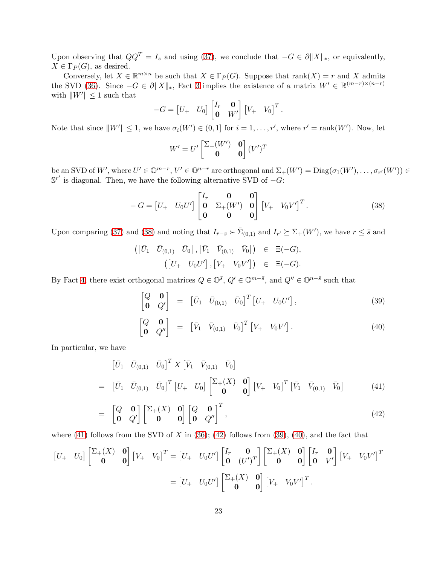Upon observing that  $QQ^T = I_{\bar{s}}$  and using [\(37\)](#page-21-0), we conclude that  $-G \in \partial ||X||_*$ , or equivalently,  $X \in \Gamma_P(G)$ , as desired.

Conversely, let  $X \in \mathbb{R}^{m \times n}$  be such that  $X \in \Gamma_P(G)$ . Suppose that rank $(X) = r$  and X admits the SVD [\(36\)](#page-20-0). Since  $-G \in \partial ||X||_*$ , Fact [3](#page-20-2) implies the existence of a matrix  $W' \in \mathbb{R}^{(m-r)\times(n-r)}$ with  $\|W'\| \leq 1$  such that

$$
-G = \begin{bmatrix} U_+ & U_0 \end{bmatrix} \begin{bmatrix} I_r & \mathbf{0} \\ \mathbf{0} & W' \end{bmatrix} \begin{bmatrix} V_+ & V_0 \end{bmatrix}^T.
$$

Note that since  $||W'|| \leq 1$ , we have  $\sigma_i(W') \in (0,1]$  for  $i = 1, \ldots, r'$ , where  $r' = \text{rank}(W')$ . Now, let

$$
W' = U' \begin{bmatrix} \Sigma_+(W') & \mathbf{0} \\ \mathbf{0} & \mathbf{0} \end{bmatrix} (V')^T
$$

be an SVD of W', where  $U' \in \mathbb{O}^{m-r}$ ,  $V' \in \mathbb{O}^{n-r}$  are orthogonal and  $\Sigma_+(W') = \text{Diag}(\sigma_1(W'), \ldots, \sigma_{r'}(W')) \in$  $\mathbb{S}^{r'}$  is diagonal. Then, we have the following alternative SVD of  $-G$ :

<span id="page-22-0"></span>
$$
-G = \begin{bmatrix} U_+ & U_0 U' \end{bmatrix} \begin{bmatrix} I_r & \mathbf{0} & \mathbf{0} \\ \mathbf{0} & \Sigma_+(W') & \mathbf{0} \\ \mathbf{0} & \mathbf{0} & \mathbf{0} \end{bmatrix} \begin{bmatrix} V_+ & V_0 V' \end{bmatrix}^T.
$$
 (38)

Upon comparing [\(37\)](#page-21-0) and [\(38\)](#page-22-0) and noting that  $I_{\bar{r}-\bar{s}} \succ \bar{\Sigma}_{(0,1)}$  and  $I_{r'} \succeq \Sigma_{+}(W')$ , we have  $r \leq \bar{s}$  and

$$
\begin{array}{rcl}\n \left( \begin{bmatrix} \bar{U}_1 & \bar{U}_{(0,1)} & \bar{U}_0 \end{bmatrix}, \begin{bmatrix} \bar{V}_1 & \bar{V}_{(0,1)} & \bar{V}_0 \end{bmatrix} \right) & \in & \Xi(-G), \\
 \left( \begin{bmatrix} U_+ & U_0 U' \end{bmatrix}, \begin{bmatrix} V_+ & V_0 V' \end{bmatrix} \right) & \in & \Xi(-G).\n \end{array}
$$

By Fact [4,](#page-20-3) there exist orthogonal matrices  $Q \in \mathbb{O}^{\bar{s}}$ ,  $Q' \in \mathbb{O}^{m-\bar{s}}$ , and  $Q'' \in \mathbb{O}^{n-\bar{s}}$  such that

<span id="page-22-2"></span>
$$
\begin{bmatrix} Q & \mathbf{0} \\ \mathbf{0} & Q' \end{bmatrix} = \begin{bmatrix} \bar{U}_1 & \bar{U}_{(0,1)} & \bar{U}_0 \end{bmatrix}^T \begin{bmatrix} U_+ & U_0 U' \end{bmatrix}, \tag{39}
$$

$$
\begin{bmatrix} Q & \mathbf{0} \\ \mathbf{0} & Q'' \end{bmatrix} = \begin{bmatrix} \bar{V}_1 & \bar{V}_{(0,1)} & \bar{V}_0 \end{bmatrix}^T \begin{bmatrix} V_+ & V_0 V' \end{bmatrix}.
$$
 (40)

In particular, we have

<span id="page-22-1"></span>
$$
\begin{bmatrix} \bar{U}_1 & \bar{U}_{(0,1)} & \bar{U}_0 \end{bmatrix}^T X \begin{bmatrix} \bar{V}_1 & \bar{V}_{(0,1)} & \bar{V}_0 \end{bmatrix}
$$
\n
$$
= \begin{bmatrix} \bar{U}_1 & \bar{U}_{(0,1)} & \bar{U}_0 \end{bmatrix}^T \begin{bmatrix} U_+ & U_0 \end{bmatrix} \begin{bmatrix} \Sigma_+(X) & \mathbf{0} \\ \mathbf{0} & \mathbf{0} \end{bmatrix} \begin{bmatrix} V_+ & V_0 \end{bmatrix}^T \begin{bmatrix} \bar{V}_1 & \bar{V}_{(0,1)} & \bar{V}_0 \end{bmatrix}
$$
\n(41)

$$
= \begin{bmatrix} Q & \mathbf{0} \\ \mathbf{0} & Q' \end{bmatrix} \begin{bmatrix} \Sigma_{+}(X) & \mathbf{0} \\ \mathbf{0} & \mathbf{0} \end{bmatrix} \begin{bmatrix} Q & \mathbf{0} \\ \mathbf{0} & Q'' \end{bmatrix}^T, \tag{42}
$$

where  $(41)$  follows from the SVD of X in  $(36)$ ;  $(42)$  follows from  $(39)$ ,  $(40)$ , and the fact that

$$
\begin{bmatrix} U_+ & U_0 \end{bmatrix} \begin{bmatrix} \Sigma_+(X) & \mathbf{0} \\ \mathbf{0} & \mathbf{0} \end{bmatrix} \begin{bmatrix} V_+ & V_0 \end{bmatrix}^T = \begin{bmatrix} U_+ & U_0 U' \end{bmatrix} \begin{bmatrix} I_r & \mathbf{0} \\ \mathbf{0} & (U')^T \end{bmatrix} \begin{bmatrix} \Sigma_+(X) & \mathbf{0} \\ \mathbf{0} & \mathbf{0} \end{bmatrix} \begin{bmatrix} I_r & \mathbf{0} \\ \mathbf{0} & V' \end{bmatrix} \begin{bmatrix} V_+ & V_0 V' \end{bmatrix}^T
$$

$$
= \begin{bmatrix} U_+ & U_0 U' \end{bmatrix} \begin{bmatrix} \Sigma_+(X) & \mathbf{0} \\ \mathbf{0} & \mathbf{0} \end{bmatrix} \begin{bmatrix} V_+ & V_0 V' \end{bmatrix}^T.
$$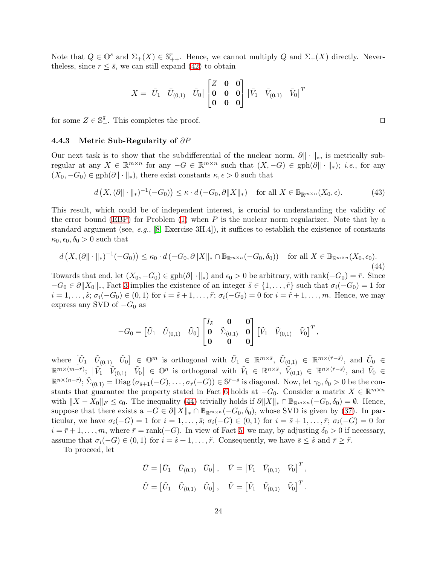Note that  $Q \in \mathbb{O}^{\bar{s}}$  and  $\Sigma_{+}(X) \in \mathbb{S}_{++}^{r}$ . Hence, we cannot multiply  $Q$  and  $\Sigma_{+}(X)$  directly. Neverthe less, since  $r \leq \bar{s}$ , we can still expand [\(42\)](#page-22-1) to obtain

$$
X = \begin{bmatrix} \bar{U}_1 & \bar{U}_{(0,1)} & \bar{U}_0 \end{bmatrix} \begin{bmatrix} Z & \mathbf{0} & \mathbf{0} \\ \mathbf{0} & \mathbf{0} & \mathbf{0} \\ \mathbf{0} & \mathbf{0} & \mathbf{0} \end{bmatrix} \begin{bmatrix} \bar{V}_1 & \bar{V}_{(0,1)} & \bar{V}_0 \end{bmatrix}^T
$$

for some  $Z \in \mathbb{S}_{+}^{\bar{s}}$ . This completes the proof. □

### 4.4.3 Metric Sub-Regularity of  $\partial P$

Our next task is to show that the subdifferential of the nuclear norm,  $\partial \|\cdot\|_*$ , is metrically subregular at any  $X \in \mathbb{R}^{m \times n}$  for any  $-G \in \mathbb{R}^{m \times n}$  such that  $(X, -G) \in \text{gph}(\partial \|\cdot\|_*)$ ; *i.e.*, for any  $(X_0, -G_0) \in \text{gph}(\partial \|\cdot\|_*)$ , there exist constants  $\kappa, \epsilon > 0$  such that

$$
d\left(X, (\partial \|\cdot\|_*)^{-1}(-G_0)\right) \leq \kappa \cdot d\left(-G_0, \partial \|X\|_*\right) \quad \text{for all } X \in \mathbb{B}_{\mathbb{R}^{m \times n}}(X_0, \epsilon). \tag{43}
$$

This result, which could be of independent interest, is crucial to understanding the validity of the error bound [\(EBP\)](#page-1-2) for Problem  $(1)$  when P is the nuclear norm regularizer. Note that by a standard argument (see, e.g., [\[8,](#page-29-4) Exercise 3H.4]), it suffices to establish the existence of constants  $\kappa_0, \epsilon_0, \delta_0 > 0$  such that

<span id="page-23-0"></span>
$$
d\left(X, (\partial \|\cdot\|_*)^{-1}(-G_0)\right) \le \kappa_0 \cdot d\left(-G_0, \partial \|X\|_* \cap \mathbb{B}_{\mathbb{R}^{m \times n}}(-G_0, \delta_0)\right) \quad \text{for all } X \in \mathbb{B}_{\mathbb{R}^{m \times n}}(X_0, \epsilon_0).
$$
\n(44)

Towards that end, let  $(X_0, -G_0) \in \text{gph}(\partial \|\cdot\|_*)$  and  $\epsilon_0 > 0$  be arbitrary, with rank $(-G_0) = \tilde{r}$ . Since  $-G_0 \in \partial ||X_0||_*$ , Fact [3](#page-20-2) implies the existence of an integer  $\tilde{s} \in \{1, \ldots, \tilde{r}\}\$  such that  $\sigma_i(-G_0) = 1$  for  $i = 1, \ldots, \tilde{s}; \sigma_i(-G_0) \in (0,1)$  for  $i = \tilde{s} + 1, \ldots, \tilde{r}; \sigma_i(-G_0) = 0$  for  $i = \tilde{r} + 1, \ldots, m$ . Hence, we may express any SVD of  $-G_0$  as

$$
-G_0 = \begin{bmatrix} \tilde{U}_1 & \tilde{U}_{(0,1)} & \tilde{U}_0 \end{bmatrix} \begin{bmatrix} I_{\tilde{s}} & \mathbf{0} & \mathbf{0} \\ \mathbf{0} & \tilde{\Sigma}_{(0,1)} & \mathbf{0} \\ \mathbf{0} & \mathbf{0} & \mathbf{0} \end{bmatrix} \begin{bmatrix} \tilde{V}_1 & \tilde{V}_{(0,1)} & \tilde{V}_0 \end{bmatrix}^T,
$$

where  $[\tilde{U}_1 \quad \tilde{U}_{(0,1)} \quad \tilde{U}_0] \in \mathbb{O}^m$  is orthogonal with  $\tilde{U}_1 \in \mathbb{R}^{m \times \tilde{s}}$ ,  $\tilde{U}_{(0,1)} \in \mathbb{R}^{m \times (\tilde{r}-\tilde{s})}$ , and  $\tilde{U}_0 \in$  $\mathbb{R}^{m\times(m-\tilde{r})}$ ;  $\begin{bmatrix} \tilde{V}_1 & \tilde{V}_{(0,1)} & \tilde{V}_0 \end{bmatrix} \in \mathbb{O}^n$  is orthogonal with  $\tilde{V}_1 \in \mathbb{R}^{n\times\tilde{s}}$ ,  $\tilde{V}_{(0,1)} \in \mathbb{R}^{n\times(\tilde{r}-\tilde{s})}$ , and  $\tilde{V}_0 \in$  $\mathbb{R}^{n \times (n-\tilde{r})}$ ;  $\tilde{\Sigma}_{(0,1)} = \text{Diag}(\sigma_{\tilde{s}+1}(-G), \ldots, \sigma_{\tilde{r}}(-G)) \in \mathbb{S}^{\tilde{r}-\tilde{s}}$  is diagonal. Now, let  $\gamma_0, \delta_0 > 0$  be the con-stants that guarantee the property stated in Fact [6](#page-20-4) holds at  $-G_0$ . Consider a matrix  $X \in \mathbb{R}^{m \times n}$ with  $||X - X_0||_F \leq \epsilon_0$ . The inequality [\(44\)](#page-23-0) trivially holds if  $\partial ||X||_* \cap \mathbb{B}_{\mathbb{R}^{m \times n}}(-G_0, \delta_0) = \emptyset$ . Hence, suppose that there exists a  $-G \in \partial ||X||_* \cap \mathbb{B}_{\mathbb{R}^{m \times n}}(-G_0, \delta_0)$ , whose SVD is given by [\(37\)](#page-21-0). In particular, we have  $\sigma_i(-G) = 1$  for  $i = 1, \ldots, \overline{s}$ ;  $\sigma_i(-G) \in (0,1)$  for  $i = \overline{s} + 1, \ldots, \overline{r}$ ;  $\sigma_i(-G) = 0$  for  $i = \overline{r} + 1, \ldots, m$ , where  $\overline{r} = \text{rank}(-G)$ . In view of Fact [5,](#page-20-5) we may, by adjusting  $\delta_0 > 0$  if necessary, assume that  $\sigma_i(-G) \in (0,1)$  for  $i = \tilde{s} + 1, \ldots, \tilde{r}$ . Consequently, we have  $\bar{s} \leq \tilde{s}$  and  $\bar{r} \geq \tilde{r}$ .

To proceed, let

$$
\begin{aligned}\n\bar{U} &= \begin{bmatrix} \bar{U}_1 & \bar{U}_{(0,1)} & \bar{U}_0 \end{bmatrix}, \quad \bar{V} = \begin{bmatrix} \bar{V}_1 & \bar{V}_{(0,1)} & \bar{V}_0 \end{bmatrix}^T, \\
\tilde{U} &= \begin{bmatrix} \tilde{U}_1 & \tilde{U}_{(0,1)} & \tilde{U}_0 \end{bmatrix}, \quad \tilde{V} = \begin{bmatrix} \tilde{V}_1 & \tilde{V}_{(0,1)} & \tilde{V}_0 \end{bmatrix}^T.\n\end{aligned}
$$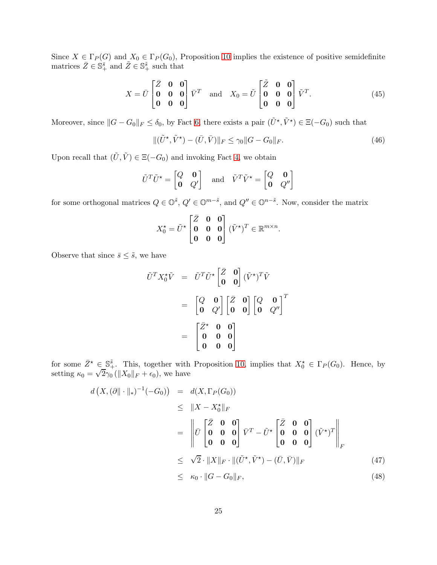Since  $X \in \Gamma_P(G)$  and  $X_0 \in \Gamma_P(G_0)$ , Proposition [10](#page-21-1) implies the existence of positive semidefinite matrices  $\bar{Z} \in \mathbb{S}_+^{\bar{s}}$  and  $\tilde{Z} \in \mathbb{S}_+^{\tilde{s}}$  such that

<span id="page-24-1"></span>
$$
X = \overline{U} \begin{bmatrix} \overline{Z} & \mathbf{0} & \mathbf{0} \\ \mathbf{0} & \mathbf{0} & \mathbf{0} \\ \mathbf{0} & \mathbf{0} & \mathbf{0} \end{bmatrix} \overline{V}^T \quad \text{and} \quad X_0 = \widetilde{U} \begin{bmatrix} \widetilde{Z} & \mathbf{0} & \mathbf{0} \\ \mathbf{0} & \mathbf{0} & \mathbf{0} \\ \mathbf{0} & \mathbf{0} & \mathbf{0} \end{bmatrix} \widetilde{V}^T. \tag{45}
$$

Moreover, since  $||G - G_0||_F \le \delta_0$ , by Fact [6,](#page-20-4) there exists a pair  $(\tilde{U}^*, \tilde{V}^*) \in \Xi(-G_0)$  such that

<span id="page-24-2"></span>
$$
\|(\tilde{U}^{\star}, \tilde{V}^{\star}) - (\bar{U}, \bar{V})\|_{F} \le \gamma_{0} \|G - G_{0}\|_{F}.
$$
\n(46)

Upon recall that  $(\tilde{U}, \tilde{V}) \in \Xi(-G_0)$  and invoking Fact [4,](#page-20-3) we obtain

$$
\tilde{U}^T \tilde{U}^{\star} = \begin{bmatrix} Q & \mathbf{0} \\ \mathbf{0} & Q' \end{bmatrix} \quad \text{and} \quad \tilde{V}^T \tilde{V}^{\star} = \begin{bmatrix} Q & \mathbf{0} \\ \mathbf{0} & Q'' \end{bmatrix}
$$

for some orthogonal matrices  $Q \in \mathbb{O}^{\tilde{s}}$ ,  $Q' \in \mathbb{O}^{m-\tilde{s}}$ , and  $Q'' \in \mathbb{O}^{n-\tilde{s}}$ . Now, consider the matrix

$$
X_0^* = \tilde{U}^* \begin{bmatrix} \bar{Z} & \mathbf{0} & \mathbf{0} \\ \mathbf{0} & \mathbf{0} & \mathbf{0} \\ \mathbf{0} & \mathbf{0} & \mathbf{0} \end{bmatrix} (\tilde{V}^*)^T \in \mathbb{R}^{m \times n}.
$$

Observe that since  $\bar{s} \leq \tilde{s}$ , we have

$$
\tilde{U}^T X_0^* \tilde{V} = \tilde{U}^T \tilde{U}^* \begin{bmatrix} \bar{Z} & \mathbf{0} \\ \mathbf{0} & \mathbf{0} \end{bmatrix} (\tilde{V}^*)^T \tilde{V}
$$

$$
= \begin{bmatrix} Q & \mathbf{0} \\ \mathbf{0} & Q' \end{bmatrix} \begin{bmatrix} \bar{Z} & \mathbf{0} \\ \mathbf{0} & \mathbf{0} \end{bmatrix} \begin{bmatrix} Q & \mathbf{0} \\ \mathbf{0} & Q'' \end{bmatrix}^T
$$

$$
= \begin{bmatrix} \bar{Z}^* & \mathbf{0} & \mathbf{0} \\ \mathbf{0} & \mathbf{0} & \mathbf{0} \\ \mathbf{0} & \mathbf{0} & \mathbf{0} \end{bmatrix}
$$

for some  $\bar{Z}^* \in \mathbb{S}_+^{\tilde{s}}$ . This, together with Proposition [10,](#page-21-1) implies that  $X_0^* \in \Gamma_P(G_0)$ . Hence, by setting  $\kappa_0 = \sqrt{2}\gamma_0 (\|X_0\|_F + \epsilon_0)$ , we have

<span id="page-24-0"></span>
$$
d(X, (\partial \|\cdot\|_{*})^{-1}(-G_{0})) = d(X, \Gamma_{P}(G_{0}))
$$
  
\n
$$
\leq \|X - X_{0}^{\star}\|_{F}
$$
  
\n
$$
= \left\|\bar{U} \begin{bmatrix} \bar{Z} & \mathbf{0} & \mathbf{0} \\ \mathbf{0} & \mathbf{0} & \mathbf{0} \\ \mathbf{0} & \mathbf{0} & \mathbf{0} \end{bmatrix} \bar{V}^{T} - \tilde{U}^{\star} \begin{bmatrix} \bar{Z} & \mathbf{0} & \mathbf{0} \\ \mathbf{0} & \mathbf{0} & \mathbf{0} \\ \mathbf{0} & \mathbf{0} & \mathbf{0} \end{bmatrix} (\tilde{V}^{\star})^{T} \right\|_{F}
$$
  
\n
$$
\leq \sqrt{2} \cdot \|X\|_{F} \cdot \|(\tilde{U}^{\star}, \tilde{V}^{\star}) - (\bar{U}, \bar{V})\|_{F}
$$
  
\n
$$
\leq \kappa_{0} \cdot \|G - G_{0}\|_{F},
$$
\n(48)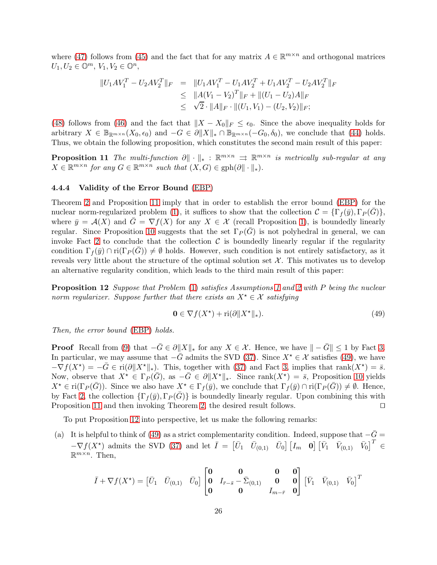where [\(47\)](#page-24-0) follows from [\(45\)](#page-24-1) and the fact that for any matrix  $A \in \mathbb{R}^{m \times n}$  and orthogonal matrices  $U_1, U_2 \in \mathbb{O}^m$ ,  $V_1, V_2 \in \mathbb{O}^n$ ,

$$
||U_1AV_1^T - U_2AV_2^T||_F = ||U_1AV_1^T - U_1AV_2^T + U_1AV_2^T - U_2AV_2^T||_F
$$
  
\n
$$
\leq ||A(V_1 - V_2)^T||_F + ||(U_1 - U_2)A||_F
$$
  
\n
$$
\leq \sqrt{2} \cdot ||A||_F \cdot ||(U_1, V_1) - (U_2, V_2)||_F;
$$

[\(48\)](#page-24-0) follows from [\(46\)](#page-24-2) and the fact that  $||X - X_0||_F \le \epsilon_0$ . Since the above inequality holds for arbitrary  $X \in \mathbb{B}_{\mathbb{R}^{m\times n}}(X_0,\epsilon_0)$  and  $-G \in \partial \|X\|_* \cap \mathbb{B}_{\mathbb{R}^{m\times n}}(-G_0,\delta_0)$ , we conclude that [\(44\)](#page-23-0) holds. Thus, we obtain the following proposition, which constitutes the second main result of this paper:

**Proposition 11** The multi-function  $\partial \|\cdot\|_*$ :  $\mathbb{R}^{m \times n} \implies \mathbb{R}^{m \times n}$  is metrically sub-regular at any  $X \in \mathbb{R}^{m \times n}$  for any  $G \in \mathbb{R}^{m \times n}$  such that  $(X, G) \in \text{gph}(\partial \|\cdot\|_*)$ .

#### <span id="page-25-2"></span>4.4.4 Validity of the Error Bound [\(EBP\)](#page-1-2)

Theorem [2](#page-14-0) and Proposition [11](#page-25-1) imply that in order to establish the error bound [\(EBP\)](#page-1-2) for the nuclear norm-regularized problem [\(1\)](#page-0-0), it suffices to show that the collection  $\mathcal{C} = \{\Gamma_f(\bar{y}), \Gamma_P(\bar{G})\},\$ where  $\bar{y} = \mathcal{A}(X)$  and  $\bar{G} = \nabla f(X)$  for any  $X \in \mathcal{X}$  (recall Proposition [1\)](#page-4-0), is boundedly linearly regular. Since Proposition [10](#page-21-1) suggests that the set  $\Gamma_P(G)$  is not polyhedral in general, we can invoke Fact [2](#page-15-2) to conclude that the collection  $\mathcal C$  is boundedly linearly regular if the regularity condition  $\Gamma_f(\bar{y}) \cap \text{ri}(\Gamma_P(G)) \neq \emptyset$  holds. However, such condition is not entirely satisfactory, as it reveals very little about the structure of the optimal solution set  $\mathcal{X}$ . This motivates us to develop an alternative regularity condition, which leads to the third main result of this paper:

<span id="page-25-0"></span>**Proposition [1](#page-3-1)2** Suppose that Problem [\(1\)](#page-0-0) satisfies Assumptions 1 and [2](#page-4-1) with P being the nuclear norm regularizer. Suppose further that there exists an  $X^* \in \mathcal{X}$  satisfying

<span id="page-25-3"></span><span id="page-25-1"></span>
$$
\mathbf{0} \in \nabla f(X^{\star}) + \text{ri}(\partial \|X^{\star}\|_{*}).\tag{49}
$$

Then, the error bound [\(EBP\)](#page-1-2) holds.

**Proof** Recall from [\(9\)](#page-5-2) that  $-\bar{G} \in \partial ||X||_*$  for any  $X \in \mathcal{X}$ . Hence, we have  $|| - \bar{G} || \leq 1$  by Fact [3.](#page-20-2) In particular, we may assume that  $-\bar{G}$  admits the SVD [\(37\)](#page-21-0). Since  $X^* \in \mathcal{X}$  satisfies [\(49\)](#page-25-3), we have  $-\nabla f(X^*) = -\bar{G} \in \text{ri}(\partial \|X^*\|_*)$ . This, together with [\(37\)](#page-21-0) and Fact [3,](#page-20-2) implies that rank $(X^*) = \bar{s}$ . Now, observe that  $X^* \in \Gamma_P(\bar{G})$ , as  $-\bar{G} \in \partial \|X^*\|_*$ . Since rank $(X^*) = \bar{s}$ , Proposition [10](#page-21-1) yields  $X^* \in \text{ri}(\Gamma_P(G))$ . Since we also have  $X^* \in \Gamma_f(\bar{y})$ , we conclude that  $\Gamma_f(\bar{y}) \cap \text{ri}(\Gamma_P(G)) \neq \emptyset$ . Hence, by Fact [2,](#page-15-2) the collection  $\{\Gamma_f(\bar{y}), \Gamma_P(\bar{G})\}$  is boundedly linearly regular. Upon combining this with Proposition 11 and then invoking Theorem 2, the desired result follows. Proposition [11](#page-25-1) and then invoking Theorem [2,](#page-14-0) the desired result follows.

To put Proposition [12](#page-25-0) into perspective, let us make the following remarks:

(a) It is helpful to think of [\(49\)](#page-25-3) as a strict complementarity condition. Indeed, suppose that  $-\bar{G}$  =  $-\nabla f(X^*)$  admits the SVD [\(37\)](#page-21-0) and let  $\overline{I} = \begin{bmatrix} \overline{U}_1 & \overline{U}_{(0,1)} & \overline{U}_0 \end{bmatrix} \begin{bmatrix} I_m & \mathbf{0} \end{bmatrix} \begin{bmatrix} \overline{V}_1 & \overline{V}_{(0,1)} & \overline{V}_0 \end{bmatrix}^T \in$  $\mathbb{R}^{m \times n}$ . Then,

$$
\bar{I} + \nabla f(X^{\star}) = \begin{bmatrix} \bar{U}_1 & \bar{U}_{(0,1)} & \bar{U}_0 \end{bmatrix} \begin{bmatrix} \mathbf{0} & \mathbf{0} & \mathbf{0} & \mathbf{0} \\ \mathbf{0} & I_{\bar{r}-\bar{s}} - \bar{\Sigma}_{(0,1)} & \mathbf{0} & \mathbf{0} \\ \mathbf{0} & \mathbf{0} & I_{m-\bar{r}} & \mathbf{0} \end{bmatrix} \begin{bmatrix} \bar{V}_1 & \bar{V}_{(0,1)} & \bar{V}_0 \end{bmatrix}^T
$$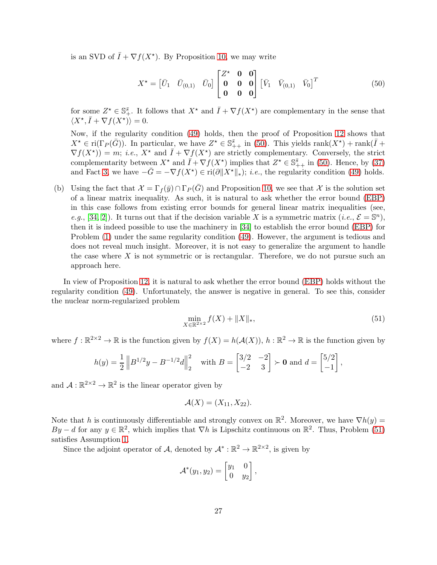is an SVD of  $\overline{I} + \nabla f(X^*)$ . By Proposition [10,](#page-21-1) we may write

<span id="page-26-0"></span>
$$
X^* = \begin{bmatrix} \bar{U}_1 & \bar{U}_{(0,1)} & \bar{U}_0 \end{bmatrix} \begin{bmatrix} Z^* & \mathbf{0} & \mathbf{0} \\ \mathbf{0} & \mathbf{0} & \mathbf{0} \\ \mathbf{0} & \mathbf{0} & \mathbf{0} \end{bmatrix} \begin{bmatrix} \bar{V}_1 & \bar{V}_{(0,1)} & \bar{V}_0 \end{bmatrix}^T \tag{50}
$$

for some  $Z^* \in \mathbb{S}^{\bar{s}}_+$ . It follows that  $X^*$  and  $\bar{I} + \nabla f(X^*)$  are complementary in the sense that  $\langle X^\star, \overline{I} + \nabla f(X^\star) \rangle = 0.$ 

Now, if the regularity condition [\(49\)](#page-25-3) holds, then the proof of Proposition [12](#page-25-0) shows that  $X^{\star} \in \text{ri}(\Gamma_P(\bar{G}))$ . In particular, we have  $Z^{\star} \in \mathbb{S}_{++}^{\bar{s}}$  in [\(50\)](#page-26-0). This yields  $\text{rank}(X^{\star}) + \text{rank}(\bar{I} +$  $\nabla f(X^{\star}) = m$ ; *i.e.*,  $X^{\star}$  and  $\overline{I} + \nabla f(X^{\star})$  are strictly complementary. Conversely, the strict complementarity between  $X^*$  and  $\overline{I} + \nabla f(X^*)$  implies that  $Z^* \in \mathbb{S}_{++}^{\overline{s}}$  in [\(50\)](#page-26-0). Hence, by [\(37\)](#page-21-0) and Fact [3,](#page-20-2) we have  $-\bar{G} = -\nabla f(X^*) \in \text{ri}(\partial \|X^*\|_*)$ ; *i.e.*, the regularity condition [\(49\)](#page-25-3) holds.

(b) Using the fact that  $\mathcal{X} = \Gamma_f(\bar{y}) \cap \Gamma_P(\bar{G})$  and Proposition [10,](#page-21-1) we see that X is the solution set of a linear matrix inequality. As such, it is natural to ask whether the error bound [\(EBP\)](#page-1-2) in this case follows from existing error bounds for general linear matrix inequalities (see, e.g., [\[34,](#page-31-13) [2\]](#page-29-14)). It turns out that if the decision variable X is a symmetric matrix (*i.e.*,  $\mathcal{E} = \mathbb{S}^n$ ), then it is indeed possible to use the machinery in [\[34\]](#page-31-13) to establish the error bound [\(EBP\)](#page-1-2) for Problem [\(1\)](#page-0-0) under the same regularity condition [\(49\)](#page-25-3). However, the argument is tedious and does not reveal much insight. Moreover, it is not easy to generalize the argument to handle the case where  $X$  is not symmetric or is rectangular. Therefore, we do not pursue such an approach here.

In view of Proposition [12,](#page-25-0) it is natural to ask whether the error bound [\(EBP\)](#page-1-2) holds without the regularity condition [\(49\)](#page-25-3). Unfortunately, the answer is negative in general. To see this, consider the nuclear norm-regularized problem

<span id="page-26-1"></span>
$$
\min_{X \in \mathbb{R}^{2 \times 2}} f(X) + \|X\|_{*},\tag{51}
$$

where  $f : \mathbb{R}^{2 \times 2} \to \mathbb{R}$  is the function given by  $f(X) = h(\mathcal{A}(X))$ ,  $h : \mathbb{R}^2 \to \mathbb{R}$  is the function given by

$$
h(y) = \frac{1}{2} \| B^{1/2}y - B^{-1/2}d \|_2^2 \quad \text{with } B = \begin{bmatrix} 3/2 & -2 \\ -2 & 3 \end{bmatrix} \succ \mathbf{0} \text{ and } d = \begin{bmatrix} 5/2 \\ -1 \end{bmatrix},
$$

and  $\mathcal{A}: \mathbb{R}^{2 \times 2} \to \mathbb{R}^2$  is the linear operator given by

$$
\mathcal{A}(X)=(X_{11},X_{22}).
$$

Note that h is continuously differentiable and strongly convex on  $\mathbb{R}^2$ . Moreover, we have  $\nabla h(y) =$ By – d for any  $y \in \mathbb{R}^2$ , which implies that  $\nabla h$  is Lipschitz continuous on  $\mathbb{R}^2$ . Thus, Problem [\(51\)](#page-26-1) satisfies Assumption [1.](#page-3-1)

Since the adjoint operator of A, denoted by  $\mathcal{A}^* : \mathbb{R}^2 \to \mathbb{R}^{2 \times 2}$ , is given by

$$
\mathcal{A}^*(y_1, y_2) = \begin{bmatrix} y_1 & 0 \\ 0 & y_2 \end{bmatrix},
$$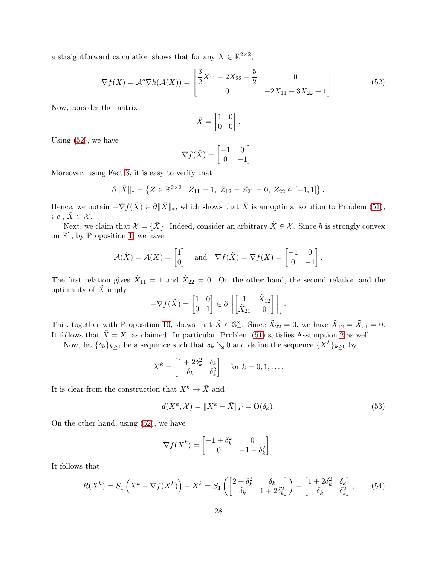a straightforward calculation shows that for any  $X \in \mathbb{R}^{2 \times 2}$ ,

<span id="page-27-0"></span>
$$
\nabla f(X) = \mathcal{A}^* \nabla h(\mathcal{A}(X)) = \begin{bmatrix} \frac{3}{2}X_{11} - 2X_{22} - \frac{5}{2} & 0\\ 0 & -2X_{11} + 3X_{22} + 1 \end{bmatrix}.
$$
 (52)

Now, consider the matrix

$$
\bar{X} = \begin{bmatrix} 1 & 0 \\ 0 & 0 \end{bmatrix}.
$$

Using [\(52\)](#page-27-0), we have

$$
\nabla f(\bar{X}) = \begin{bmatrix} -1 & 0 \\ 0 & -1 \end{bmatrix}.
$$

Moreover, using Fact [3,](#page-20-2) it is easy to verify that

$$
\partial \|\bar{X}\|_{*} = \left\{ Z \in \mathbb{R}^{2 \times 2} \mid Z_{11} = 1, Z_{12} = Z_{21} = 0, Z_{22} \in [-1, 1] \right\}.
$$

Hence, we obtain  $-\nabla f(\bar{X}) \in \partial \|\bar{X}\|_{*}$ , which shows that  $\bar{X}$  is an optimal solution to Problem [\(51\)](#page-26-1); *i.e.*,  $\bar{X} \in \mathcal{X}$ .

Next, we claim that  $\mathcal{X} = {\bar{X}}$ . Indeed, consider an arbitrary  $\tilde{X} \in \mathcal{X}$ . Since h is strongly convex on  $\mathbb{R}^2$ , by Proposition [1,](#page-4-0) we have

$$
\mathcal{A}(\tilde{X}) = \mathcal{A}(\bar{X}) = \begin{bmatrix} 1 \\ 0 \end{bmatrix} \text{ and } \nabla f(\tilde{X}) = \nabla f(\bar{X}) = \begin{bmatrix} -1 & 0 \\ 0 & -1 \end{bmatrix}.
$$

The first relation gives  $\tilde{X}_{11} = 1$  and  $\tilde{X}_{22} = 0$ . On the other hand, the second relation and the optimality of  $\tilde{X}$  imply

$$
-\nabla f(\tilde{X}) = \begin{bmatrix} 1 & 0 \\ 0 & 1 \end{bmatrix} \in \partial \left\| \begin{bmatrix} 1 & \tilde{X}_{12} \\ \tilde{X}_{21} & 0 \end{bmatrix} \right\|_{*}.
$$

This, together with Proposition [10,](#page-21-1) shows that  $\tilde{X} \in \mathbb{S}^2_+$ . Since  $\tilde{X}_{22} = 0$ , we have  $\tilde{X}_{12} = \tilde{X}_{21} = 0$ . It follows that  $\tilde{X} = \bar{X}$ , as claimed. In particular, Problem [\(51\)](#page-26-1) satisfies Assumption [2](#page-4-1) as well.

Now, let  $\{\delta_k\}_{k\geq 0}$  be a sequence such that  $\delta_k \searrow 0$  and define the sequence  $\{X^k\}_{k\geq 0}$  by

$$
X^{k} = \begin{bmatrix} 1 + 2\delta_{k}^{2} & \delta_{k} \\ \delta_{k} & \delta_{k}^{2} \end{bmatrix} \text{ for } k = 0, 1, \dots.
$$

It is clear from the construction that  $X^k \to \overline{X}$  and

<span id="page-27-2"></span>
$$
d(X^k, \mathcal{X}) = \|X^k - \bar{X}\|_F = \Theta(\delta_k). \tag{53}
$$

On the other hand, using [\(52\)](#page-27-0), we have

$$
\nabla f(X^k) = \begin{bmatrix} -1 + \delta_k^2 & 0 \\ 0 & -1 - \delta_k^2 \end{bmatrix}.
$$

It follows that

<span id="page-27-1"></span>
$$
R(X^k) = S_1\left(X^k - \nabla f(X^k)\right) - X^k = S_1\left(\begin{bmatrix} 2 + \delta_k^2 & \delta_k \\ \delta_k & 1 + 2\delta_k^2 \end{bmatrix}\right) - \begin{bmatrix} 1 + 2\delta_k^2 & \delta_k \\ \delta_k & \delta_k^2 \end{bmatrix},\tag{54}
$$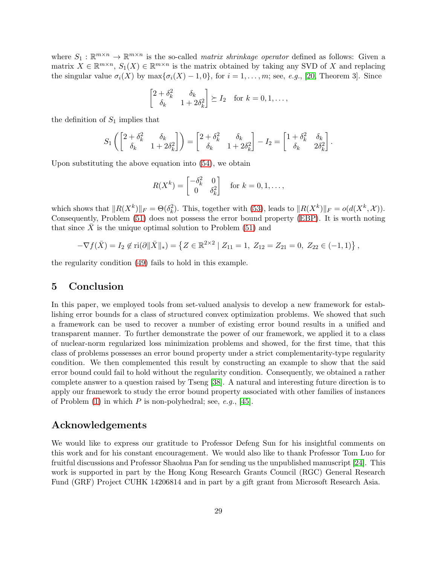where  $S_1 : \mathbb{R}^{m \times n} \to \mathbb{R}^{m \times n}$  is the so-called *matrix shrinkage operator* defined as follows: Given a matrix  $X \in \mathbb{R}^{m \times n}$ ,  $S_1(X) \in \mathbb{R}^{m \times n}$  is the matrix obtained by taking any SVD of X and replacing the singular value  $\sigma_i(X)$  by  $\max{\{\sigma_i(X) - 1, 0\}}$ , for  $i = 1, ..., m$ ; see, e.g., [\[20,](#page-30-14) Theorem 3]. Since

$$
\begin{bmatrix} 2+\delta_k^2 & \delta_k \\ \delta_k & 1+2\delta_k^2 \end{bmatrix} \succeq I_2 \text{ for } k = 0, 1, \dots,
$$

the definition of  $S_1$  implies that

$$
S_1\left(\begin{bmatrix} 2+\delta_k^2 & \delta_k \\ \delta_k & 1+2\delta_k^2 \end{bmatrix}\right) = \begin{bmatrix} 2+\delta_k^2 & \delta_k \\ \delta_k & 1+2\delta_k^2 \end{bmatrix} - I_2 = \begin{bmatrix} 1+\delta_k^2 & \delta_k \\ \delta_k & 2\delta_k^2 \end{bmatrix}.
$$

Upon substituting the above equation into [\(54\)](#page-27-1), we obtain

$$
R(X^{k}) = \begin{bmatrix} -\delta_{k}^{2} & 0\\ 0 & \delta_{k}^{2} \end{bmatrix} \text{ for } k = 0, 1, \dots,
$$

which shows that  $||R(X^k)||_F = \Theta(\delta_k^2)$ . This, together with [\(53\)](#page-27-2), leads to  $||R(X^k)||_F = o(d(X^k, \mathcal{X}))$ . Consequently, Problem [\(51\)](#page-26-1) does not possess the error bound property [\(EBP\)](#page-1-2). It is worth noting that since  $X$  is the unique optimal solution to Problem [\(51\)](#page-26-1) and

$$
-\nabla f(\bar{X}) = I_2 \notin \text{ri}(\partial \|\bar{X}\|_*) = \left\{ Z \in \mathbb{R}^{2 \times 2} \mid Z_{11} = 1, Z_{12} = Z_{21} = 0, Z_{22} \in (-1, 1) \right\},\
$$

the regularity condition [\(49\)](#page-25-3) fails to hold in this example.

### 5 Conclusion

In this paper, we employed tools from set-valued analysis to develop a new framework for establishing error bounds for a class of structured convex optimization problems. We showed that such a framework can be used to recover a number of existing error bound results in a unified and transparent manner. To further demonstrate the power of our framework, we applied it to a class of nuclear-norm regularized loss minimization problems and showed, for the first time, that this class of problems possesses an error bound property under a strict complementarity-type regularity condition. We then complemented this result by constructing an example to show that the said error bound could fail to hold without the regularity condition. Consequently, we obtained a rather complete answer to a question raised by Tseng [\[38\]](#page-31-0). A natural and interesting future direction is to apply our framework to study the error bound property associated with other families of instances of Problem  $(1)$  in which P is non-polyhedral; see, e.g., [\[45\]](#page-31-9).

### Acknowledgements

We would like to express our gratitude to Professor Defeng Sun for his insightful comments on this work and for his constant encouragement. We would also like to thank Professor Tom Luo for fruitful discussions and Professor Shaohua Pan for sending us the unpublished manuscript [\[24\]](#page-30-15). This work is supported in part by the Hong Kong Research Grants Council (RGC) General Research Fund (GRF) Project CUHK 14206814 and in part by a gift grant from Microsoft Research Asia.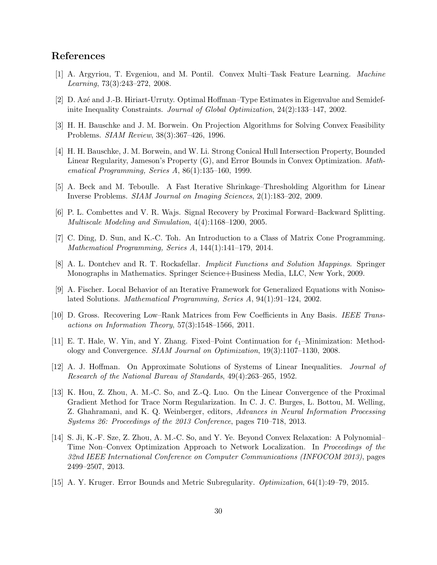# <span id="page-29-10"></span>References

- <span id="page-29-14"></span>[1] A. Argyriou, T. Evgeniou, and M. Pontil. Convex Multi–Task Feature Learning. Machine Learning, 73(3):243–272, 2008.
- <span id="page-29-7"></span>[2] D. Az´e and J.-B. Hiriart-Urruty. Optimal Hoffman–Type Estimates in Eigenvalue and Semidefinite Inequality Constraints. Journal of Global Optimization, 24(2):133–147, 2002.
- <span id="page-29-9"></span>[3] H. H. Bauschke and J. M. Borwein. On Projection Algorithms for Solving Convex Feasibility Problems. SIAM Review, 38(3):367–426, 1996.
- [4] H. H. Bauschke, J. M. Borwein, and W. Li. Strong Conical Hull Intersection Property, Bounded Linear Regularity, Jameson's Property (G), and Error Bounds in Convex Optimization. Mathematical Programming, Series A, 86(1):135–160, 1999.
- <span id="page-29-2"></span><span id="page-29-0"></span>[5] A. Beck and M. Teboulle. A Fast Iterative Shrinkage–Thresholding Algorithm for Linear Inverse Problems. SIAM Journal on Imaging Sciences, 2(1):183–202, 2009.
- <span id="page-29-13"></span>[6] P. L. Combettes and V. R. Wajs. Signal Recovery by Proximal Forward–Backward Splitting. Multiscale Modeling and Simulation, 4(4):1168–1200, 2005.
- <span id="page-29-4"></span>[7] C. Ding, D. Sun, and K.-C. Toh. An Introduction to a Class of Matrix Cone Programming. Mathematical Programming, Series A, 144(1):141–179, 2014.
- <span id="page-29-5"></span>[8] A. L. Dontchev and R. T. Rockafellar. Implicit Functions and Solution Mappings. Springer Monographs in Mathematics. Springer Science+Business Media, LLC, New York, 2009.
- [9] A. Fischer. Local Behavior of an Iterative Framework for Generalized Equations with Nonisolated Solutions. Mathematical Programming, Series A, 94(1):91–124, 2002.
- <span id="page-29-11"></span>[10] D. Gross. Recovering Low–Rank Matrices from Few Coefficients in Any Basis. IEEE Transactions on Information Theory, 57(3):1548–1566, 2011.
- <span id="page-29-1"></span>[11] E. T. Hale, W. Yin, and Y. Zhang. Fixed–Point Continuation for  $\ell_1$ –Minimization: Methodology and Convergence. SIAM Journal on Optimization, 19(3):1107–1130, 2008.
- <span id="page-29-8"></span>[12] A. J. Hoffman. On Approximate Solutions of Systems of Linear Inequalities. Journal of Research of the National Bureau of Standards, 49(4):263–265, 1952.
- <span id="page-29-3"></span>[13] K. Hou, Z. Zhou, A. M.-C. So, and Z.-Q. Luo. On the Linear Convergence of the Proximal Gradient Method for Trace Norm Regularization. In C. J. C. Burges, L. Bottou, M. Welling, Z. Ghahramani, and K. Q. Weinberger, editors, Advances in Neural Information Processing Systems 26: Proceedings of the 2013 Conference, pages 710–718, 2013.
- <span id="page-29-12"></span>[14] S. Ji, K.-F. Sze, Z. Zhou, A. M.-C. So, and Y. Ye. Beyond Convex Relaxation: A Polynomial– Time Non–Convex Optimization Approach to Network Localization. In Proceedings of the 32nd IEEE International Conference on Computer Communications (INFOCOM 2013), pages 2499–2507, 2013.
- <span id="page-29-6"></span>[15] A. Y. Kruger. Error Bounds and Metric Subregularity. Optimization, 64(1):49–79, 2015.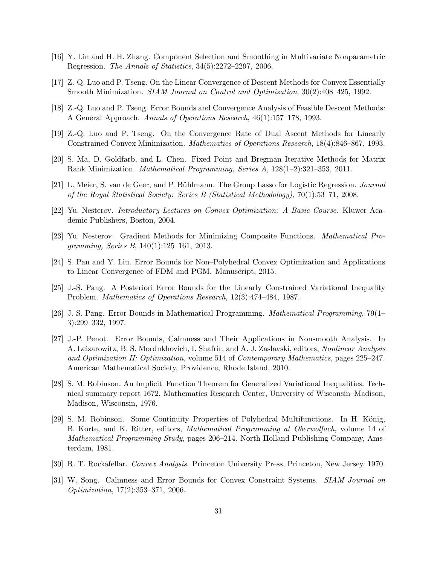- <span id="page-30-12"></span><span id="page-30-5"></span>[16] Y. Lin and H. H. Zhang. Component Selection and Smoothing in Multivariate Nonparametric Regression. The Annals of Statistics, 34(5):2272–2297, 2006.
- <span id="page-30-3"></span>[17] Z.-Q. Luo and P. Tseng. On the Linear Convergence of Descent Methods for Convex Essentially Smooth Minimization. SIAM Journal on Control and Optimization, 30(2):408–425, 1992.
- <span id="page-30-6"></span>[18] Z.-Q. Luo and P. Tseng. Error Bounds and Convergence Analysis of Feasible Descent Methods: A General Approach. Annals of Operations Research, 46(1):157–178, 1993.
- <span id="page-30-14"></span>[19] Z.-Q. Luo and P. Tseng. On the Convergence Rate of Dual Ascent Methods for Linearly Constrained Convex Minimization. Mathematics of Operations Research, 18(4):846–867, 1993.
- [20] S. Ma, D. Goldfarb, and L. Chen. Fixed Point and Bregman Iterative Methods for Matrix Rank Minimization. Mathematical Programming, Series A, 128(1–2):321–353, 2011.
- <span id="page-30-13"></span>[21] L. Meier, S. van de Geer, and P. Bühlmann. The Group Lasso for Logistic Regression. Journal of the Royal Statistical Society: Series B (Statistical Methodology), 70(1):53–71, 2008.
- <span id="page-30-1"></span><span id="page-30-0"></span>[22] Yu. Nesterov. Introductory Lectures on Convex Optimization: A Basic Course. Kluwer Academic Publishers, Boston, 2004.
- <span id="page-30-15"></span>[23] Yu. Nesterov. Gradient Methods for Minimizing Composite Functions. Mathematical Programming, Series B, 140(1):125–161, 2013.
- <span id="page-30-4"></span>[24] S. Pan and Y. Liu. Error Bounds for Non–Polyhedral Convex Optimization and Applications to Linear Convergence of FDM and PGM. Manuscript, 2015.
- [25] J.-S. Pang. A Posteriori Error Bounds for the Linearly–Constrained Variational Inequality Problem. Mathematics of Operations Research, 12(3):474–484, 1987.
- <span id="page-30-2"></span>[26] J.-S. Pang. Error Bounds in Mathematical Programming. Mathematical Programming, 79(1– 3):299–332, 1997.
- <span id="page-30-9"></span>[27] J.-P. Penot. Error Bounds, Calmness and Their Applications in Nonsmooth Analysis. In A. Leizarowitz, B. S. Mordukhovich, I. Shafrir, and A. J. Zaslavski, editors, Nonlinear Analysis and Optimization II: Optimization, volume 514 of Contemporary Mathematics, pages 225–247. American Mathematical Society, Providence, Rhode Island, 2010.
- <span id="page-30-10"></span>[28] S. M. Robinson. An Implicit–Function Theorem for Generalized Variational Inequalities. Technical summary report 1672, Mathematics Research Center, University of Wisconsin–Madison, Madison, Wisconsin, 1976.
- <span id="page-30-11"></span>[29] S. M. Robinson. Some Continuity Properties of Polyhedral Multifunctions. In H. König, B. Korte, and K. Ritter, editors, Mathematical Programming at Oberwolfach, volume 14 of Mathematical Programming Study, pages 206–214. North-Holland Publishing Company, Amsterdam, 1981.
- <span id="page-30-8"></span><span id="page-30-7"></span>[30] R. T. Rockafellar. Convex Analysis. Princeton University Press, Princeton, New Jersey, 1970.
- [31] W. Song. Calmness and Error Bounds for Convex Constraint Systems. SIAM Journal on Optimization, 17(2):353–371, 2006.